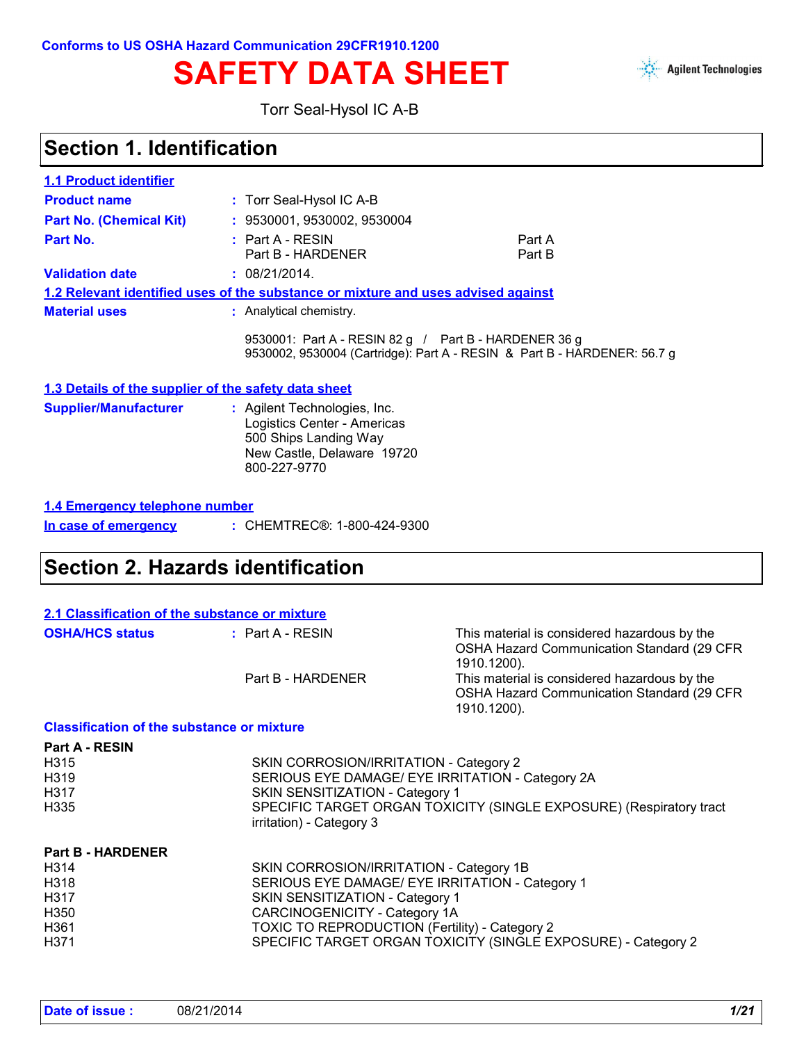



Torr Seal-Hysol IC A-B

### **Section 1. Identification**

| <b>1.1 Product identifier</b>  |                                                                                          |                                                                          |
|--------------------------------|------------------------------------------------------------------------------------------|--------------------------------------------------------------------------|
| <b>Product name</b>            | : Torr Seal-Hysol IC A-B                                                                 |                                                                          |
| <b>Part No. (Chemical Kit)</b> | : 9530001, 9530002, 9530004                                                              |                                                                          |
| Part No.                       | $:$ Part A - RESIN<br>Part B - HARDENER                                                  | Part A<br>Part B                                                         |
| <b>Validation date</b>         | : 08/21/2014.                                                                            |                                                                          |
|                                | <u>1.2 Relevant identified uses of the substance or mixture and uses advised against</u> |                                                                          |
| <b>Material uses</b>           | : Analytical chemistry.                                                                  |                                                                          |
|                                | 9530001: Part A - RESIN 82 g / Part B - HARDENER 36 g                                    | 9530002, 9530004 (Cartridge): Part A - RESIN & Part B - HARDENER: 56.7 g |

#### **1.3 Details of the supplier of the safety data sheet**

| <b>Supplier/Manufacturer</b> | : Agilent Technologies, Inc. |
|------------------------------|------------------------------|
|                              | Logistics Center - Americas  |
|                              | 500 Ships Landing Way        |
|                              | New Castle, Delaware 19720   |
|                              | 800-227-9770                 |
|                              |                              |

|  | 1.4 Emergency telephone number |
|--|--------------------------------|
|  |                                |

| In case of emergency |  | : CHEMTREC®: 1-800-424-9300 |
|----------------------|--|-----------------------------|
|----------------------|--|-----------------------------|

### **Section 2. Hazards identification**

| 2.1 Classification of the substance or mixture    |                    |                                                                                                           |
|---------------------------------------------------|--------------------|-----------------------------------------------------------------------------------------------------------|
| <b>OSHA/HCS status</b>                            | $:$ Part A - RESIN | This material is considered hazardous by the<br>OSHA Hazard Communication Standard (29 CFR<br>1910.1200). |
|                                                   | Part B - HARDENER  | This material is considered hazardous by the<br>OSHA Hazard Communication Standard (29 CFR<br>1910.1200). |
| <b>Classification of the substance or mixture</b> |                    |                                                                                                           |

| <b>Part A - RESIN</b><br>H <sub>3</sub> 15<br>H319<br>H317<br>H335 | SKIN CORROSION/IRRITATION - Category 2<br>SERIOUS EYE DAMAGE/ EYE IRRITATION - Category 2A<br>SKIN SENSITIZATION - Category 1<br>SPECIFIC TARGET ORGAN TOXICITY (SINGLE EXPOSURE) (Respiratory tract<br>irritation) - Category 3 |
|--------------------------------------------------------------------|----------------------------------------------------------------------------------------------------------------------------------------------------------------------------------------------------------------------------------|
| <b>Part B - HARDENER</b>                                           |                                                                                                                                                                                                                                  |
| H <sub>3</sub> 14                                                  | SKIN CORROSION/IRRITATION - Category 1B                                                                                                                                                                                          |
| H318                                                               | SERIOUS EYE DAMAGE/ EYE IRRITATION - Category 1                                                                                                                                                                                  |
| H317                                                               | SKIN SENSITIZATION - Category 1                                                                                                                                                                                                  |
| H350                                                               | CARCINOGENICITY - Category 1A                                                                                                                                                                                                    |
| H361                                                               | TOXIC TO REPRODUCTION (Fertility) - Category 2                                                                                                                                                                                   |
| H371                                                               | SPECIFIC TARGET ORGAN TOXICITY (SINGLE EXPOSURE) - Category 2                                                                                                                                                                    |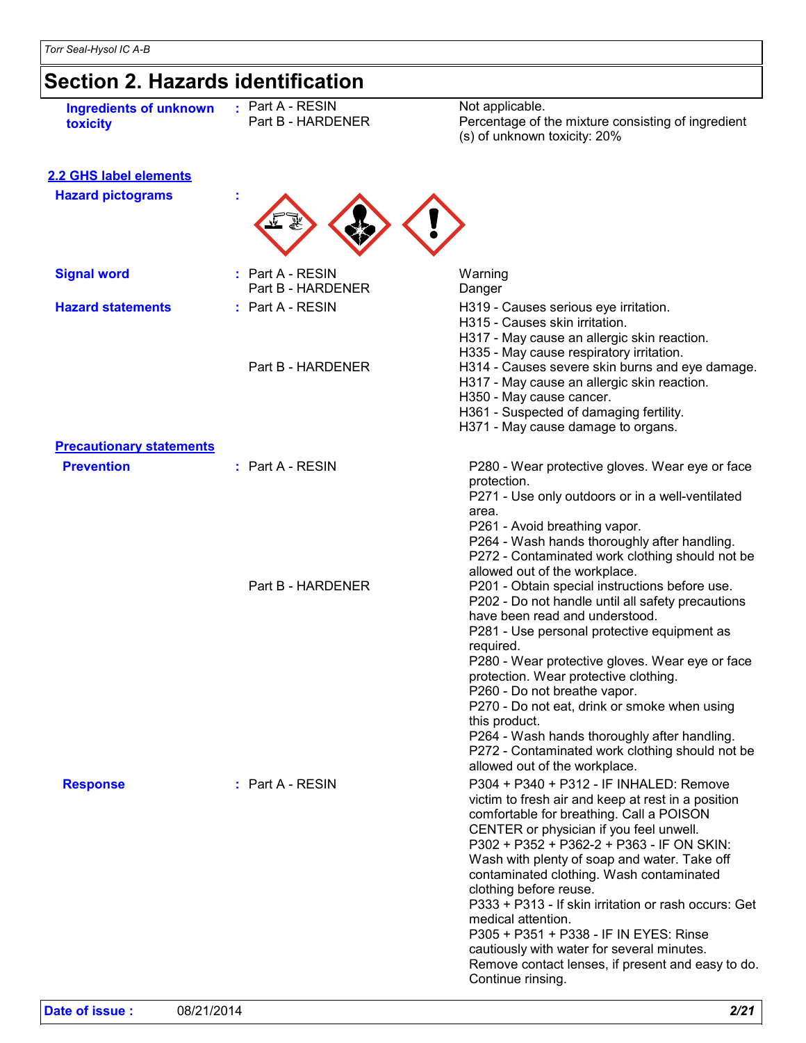# **Section 2. Hazards identification**

| <b>Ingredients of unknown</b><br>toxicity | : Part A - RESIN<br>Part B - HARDENER | Not applicable.<br>Percentage of the mixture consisting of ingredient<br>(s) of unknown toxicity: 20%                                                                                                                                                                                                                                                                                                                                                                                                                                                                                                                                    |
|-------------------------------------------|---------------------------------------|------------------------------------------------------------------------------------------------------------------------------------------------------------------------------------------------------------------------------------------------------------------------------------------------------------------------------------------------------------------------------------------------------------------------------------------------------------------------------------------------------------------------------------------------------------------------------------------------------------------------------------------|
| <b>2.2 GHS label elements</b>             |                                       |                                                                                                                                                                                                                                                                                                                                                                                                                                                                                                                                                                                                                                          |
| <b>Hazard pictograms</b>                  |                                       |                                                                                                                                                                                                                                                                                                                                                                                                                                                                                                                                                                                                                                          |
| <b>Signal word</b>                        | : Part A - RESIN<br>Part B - HARDENER | Warning<br>Danger                                                                                                                                                                                                                                                                                                                                                                                                                                                                                                                                                                                                                        |
| <b>Hazard statements</b>                  | : Part A - RESIN                      | H319 - Causes serious eye irritation.<br>H315 - Causes skin irritation.<br>H317 - May cause an allergic skin reaction.<br>H335 - May cause respiratory irritation.                                                                                                                                                                                                                                                                                                                                                                                                                                                                       |
|                                           | Part B - HARDENER                     | H314 - Causes severe skin burns and eye damage.<br>H317 - May cause an allergic skin reaction.<br>H350 - May cause cancer.<br>H361 - Suspected of damaging fertility.<br>H371 - May cause damage to organs.                                                                                                                                                                                                                                                                                                                                                                                                                              |
| <b>Precautionary statements</b>           |                                       |                                                                                                                                                                                                                                                                                                                                                                                                                                                                                                                                                                                                                                          |
| <b>Prevention</b>                         | $:$ Part A - RESIN                    | P280 - Wear protective gloves. Wear eye or face<br>protection.<br>P271 - Use only outdoors or in a well-ventilated<br>area.<br>P261 - Avoid breathing vapor.<br>P264 - Wash hands thoroughly after handling.<br>P272 - Contaminated work clothing should not be                                                                                                                                                                                                                                                                                                                                                                          |
|                                           | Part B - HARDENER                     | allowed out of the workplace.<br>P201 - Obtain special instructions before use.<br>P202 - Do not handle until all safety precautions<br>have been read and understood.<br>P281 - Use personal protective equipment as<br>required.<br>P280 - Wear protective gloves. Wear eye or face<br>protection. Wear protective clothing.<br>P260 - Do not breathe vapor.<br>P270 - Do not eat, drink or smoke when using<br>this product.<br>P264 - Wash hands thoroughly after handling.<br>P272 - Contaminated work clothing should not be                                                                                                       |
| <b>Response</b>                           | $:$ Part A - RESIN                    | allowed out of the workplace.<br>P304 + P340 + P312 - IF INHALED: Remove<br>victim to fresh air and keep at rest in a position<br>comfortable for breathing. Call a POISON<br>CENTER or physician if you feel unwell.<br>P302 + P352 + P362-2 + P363 - IF ON SKIN:<br>Wash with plenty of soap and water. Take off<br>contaminated clothing. Wash contaminated<br>clothing before reuse.<br>P333 + P313 - If skin irritation or rash occurs: Get<br>medical attention.<br>P305 + P351 + P338 - IF IN EYES: Rinse<br>cautiously with water for several minutes.<br>Remove contact lenses, if present and easy to do.<br>Continue rinsing. |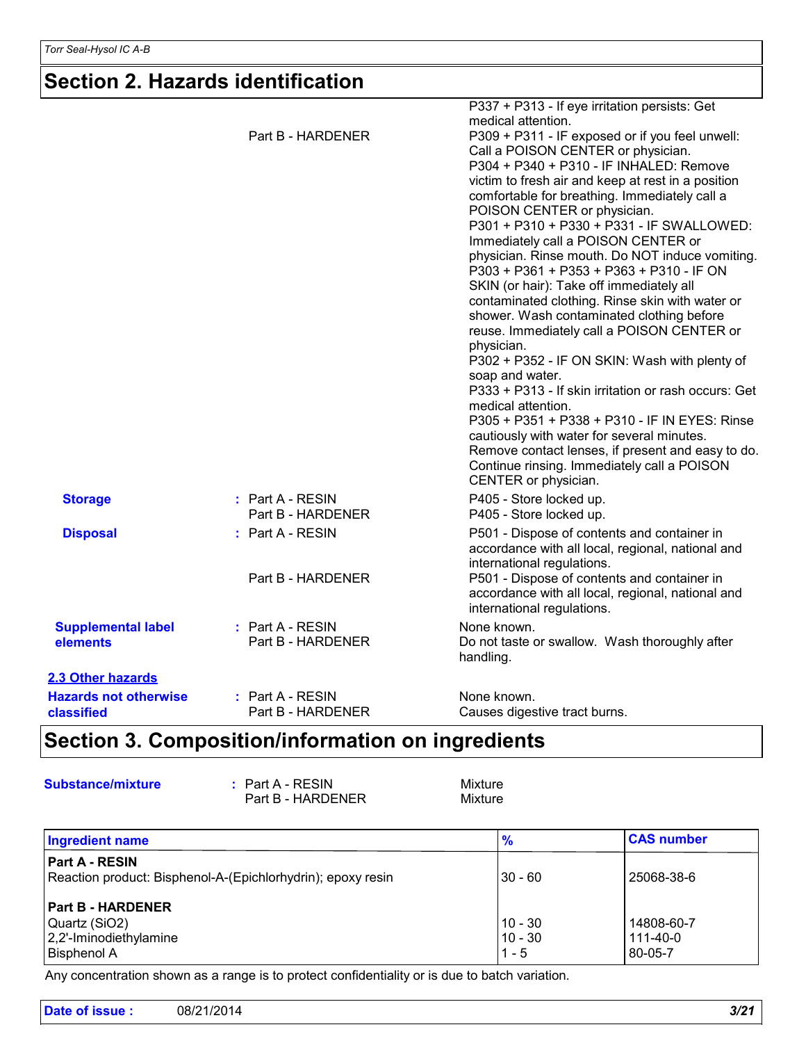### **Section 2. Hazards identification**

|                                            |                                       | P337 + P313 - If eye irritation persists: Get<br>medical attention.                                                                                                                                                                                                                                                                                                                                                                                                                                                                                                                                                                                                                                                                                                                                                                                                                                                |
|--------------------------------------------|---------------------------------------|--------------------------------------------------------------------------------------------------------------------------------------------------------------------------------------------------------------------------------------------------------------------------------------------------------------------------------------------------------------------------------------------------------------------------------------------------------------------------------------------------------------------------------------------------------------------------------------------------------------------------------------------------------------------------------------------------------------------------------------------------------------------------------------------------------------------------------------------------------------------------------------------------------------------|
|                                            | Part B - HARDENER                     | P309 + P311 - IF exposed or if you feel unwell:<br>Call a POISON CENTER or physician.<br>P304 + P340 + P310 - IF INHALED: Remove<br>victim to fresh air and keep at rest in a position<br>comfortable for breathing. Immediately call a<br>POISON CENTER or physician.<br>P301 + P310 + P330 + P331 - IF SWALLOWED:<br>Immediately call a POISON CENTER or<br>physician. Rinse mouth. Do NOT induce vomiting.<br>P303 + P361 + P353 + P363 + P310 - IF ON<br>SKIN (or hair): Take off immediately all<br>contaminated clothing. Rinse skin with water or<br>shower. Wash contaminated clothing before<br>reuse. Immediately call a POISON CENTER or<br>physician.<br>P302 + P352 - IF ON SKIN: Wash with plenty of<br>soap and water.<br>P333 + P313 - If skin irritation or rash occurs: Get<br>medical attention.<br>P305 + P351 + P338 + P310 - IF IN EYES: Rinse<br>cautiously with water for several minutes. |
|                                            |                                       | Remove contact lenses, if present and easy to do.<br>Continue rinsing. Immediately call a POISON<br>CENTER or physician.                                                                                                                                                                                                                                                                                                                                                                                                                                                                                                                                                                                                                                                                                                                                                                                           |
| <b>Storage</b>                             | : Part A - RESIN<br>Part B - HARDENER | P405 - Store locked up.<br>P405 - Store locked up.                                                                                                                                                                                                                                                                                                                                                                                                                                                                                                                                                                                                                                                                                                                                                                                                                                                                 |
| <b>Disposal</b>                            | : Part A - RESIN                      | P501 - Dispose of contents and container in<br>accordance with all local, regional, national and<br>international regulations.                                                                                                                                                                                                                                                                                                                                                                                                                                                                                                                                                                                                                                                                                                                                                                                     |
|                                            | Part B - HARDENER                     | P501 - Dispose of contents and container in<br>accordance with all local, regional, national and<br>international regulations.                                                                                                                                                                                                                                                                                                                                                                                                                                                                                                                                                                                                                                                                                                                                                                                     |
| <b>Supplemental label</b><br>elements      | : Part A - RESIN<br>Part B - HARDENER | None known.<br>Do not taste or swallow. Wash thoroughly after<br>handling.                                                                                                                                                                                                                                                                                                                                                                                                                                                                                                                                                                                                                                                                                                                                                                                                                                         |
| 2.3 Other hazards                          |                                       |                                                                                                                                                                                                                                                                                                                                                                                                                                                                                                                                                                                                                                                                                                                                                                                                                                                                                                                    |
| <b>Hazards not otherwise</b><br>classified | : Part A - RESIN<br>Part B - HARDENER | None known.<br>Causes digestive tract burns.                                                                                                                                                                                                                                                                                                                                                                                                                                                                                                                                                                                                                                                                                                                                                                                                                                                                       |

## **Section 3. Composition/information on ingredients**

| <b>Substance/mixture</b> | $:$ Part A - RESIN<br>Part B - HARDENER                                                        | <b>Mixture</b><br>Mixture |                   |
|--------------------------|------------------------------------------------------------------------------------------------|---------------------------|-------------------|
| <b>Ingredient name</b>   |                                                                                                | $\frac{9}{6}$             | <b>CAS number</b> |
| <b>Part A - RESIN</b>    |                                                                                                |                           |                   |
|                          | Reaction product: Bisphenol-A-(Epichlorhydrin); epoxy resin                                    | 30 - 60                   | 25068-38-6        |
| <b>Part B - HARDENER</b> |                                                                                                |                           |                   |
| Quartz (SiO2)            |                                                                                                | $10 - 30$                 | 14808-60-7        |
| 2,2'-Iminodiethylamine   |                                                                                                | $10 - 30$                 | $111 - 40 - 0$    |
| Bisphenol A              |                                                                                                | $1 - 5$                   | 80-05-7           |
|                          | Any concentration shown as a range is to protect confidentiality or is due to batch variation. |                           |                   |

Any concentration shown as a range is to protect confidentiality or is due to batch variation.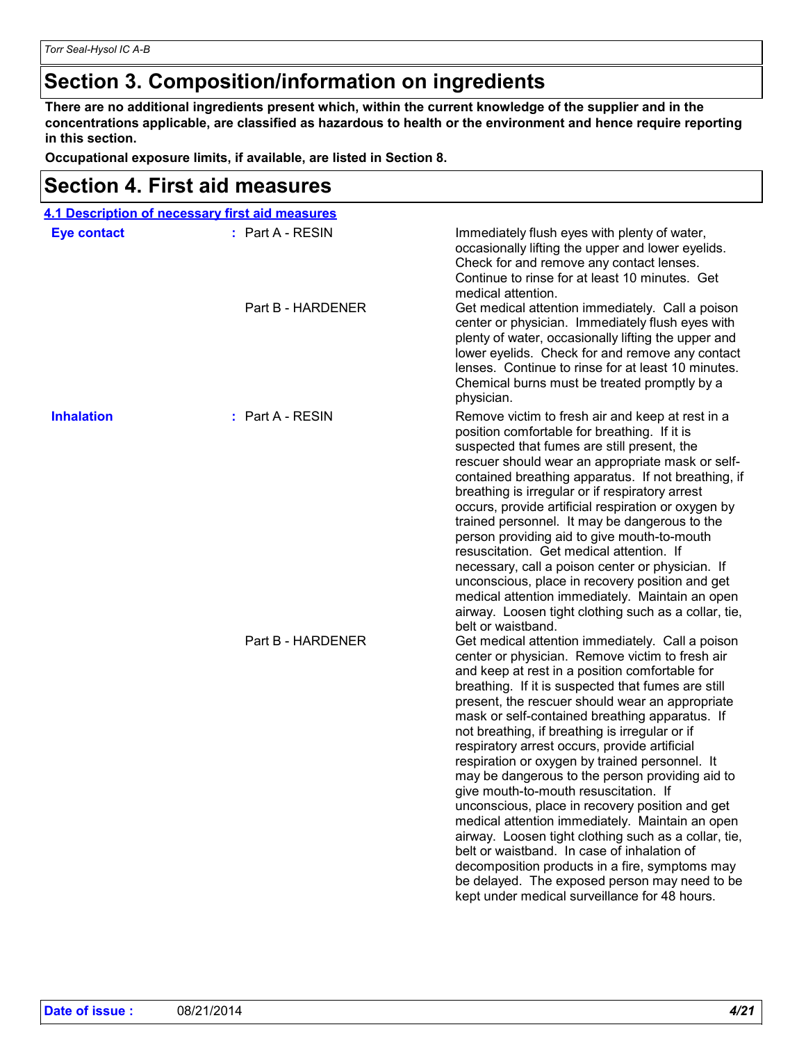### **Section 3. Composition/information on ingredients**

**There are no additional ingredients present which, within the current knowledge of the supplier and in the concentrations applicable, are classified as hazardous to health or the environment and hence require reporting in this section.**

**Occupational exposure limits, if available, are listed in Section 8.**

### **Section 4. First aid measures**

|                    | 4.1 Description of necessary first aid measures |                                                                                                                                                                                                                                                                                                                                                                                                                                                                                                                                                                                                                                                                                                                                                                                                                                                                                                                                    |
|--------------------|-------------------------------------------------|------------------------------------------------------------------------------------------------------------------------------------------------------------------------------------------------------------------------------------------------------------------------------------------------------------------------------------------------------------------------------------------------------------------------------------------------------------------------------------------------------------------------------------------------------------------------------------------------------------------------------------------------------------------------------------------------------------------------------------------------------------------------------------------------------------------------------------------------------------------------------------------------------------------------------------|
| <b>Eye contact</b> | : Part A - RESIN                                | Immediately flush eyes with plenty of water,<br>occasionally lifting the upper and lower eyelids.<br>Check for and remove any contact lenses.<br>Continue to rinse for at least 10 minutes. Get<br>medical attention.                                                                                                                                                                                                                                                                                                                                                                                                                                                                                                                                                                                                                                                                                                              |
|                    | Part B - HARDENER                               | Get medical attention immediately. Call a poison<br>center or physician. Immediately flush eyes with<br>plenty of water, occasionally lifting the upper and<br>lower eyelids. Check for and remove any contact<br>lenses. Continue to rinse for at least 10 minutes.<br>Chemical burns must be treated promptly by a<br>physician.                                                                                                                                                                                                                                                                                                                                                                                                                                                                                                                                                                                                 |
| <b>Inhalation</b>  | $:$ Part A - RESIN                              | Remove victim to fresh air and keep at rest in a<br>position comfortable for breathing. If it is<br>suspected that fumes are still present, the<br>rescuer should wear an appropriate mask or self-<br>contained breathing apparatus. If not breathing, if<br>breathing is irregular or if respiratory arrest<br>occurs, provide artificial respiration or oxygen by<br>trained personnel. It may be dangerous to the<br>person providing aid to give mouth-to-mouth<br>resuscitation. Get medical attention. If<br>necessary, call a poison center or physician. If<br>unconscious, place in recovery position and get<br>medical attention immediately. Maintain an open<br>airway. Loosen tight clothing such as a collar, tie,<br>belt or waistband.                                                                                                                                                                           |
|                    | Part B - HARDENER                               | Get medical attention immediately. Call a poison<br>center or physician. Remove victim to fresh air<br>and keep at rest in a position comfortable for<br>breathing. If it is suspected that fumes are still<br>present, the rescuer should wear an appropriate<br>mask or self-contained breathing apparatus. If<br>not breathing, if breathing is irregular or if<br>respiratory arrest occurs, provide artificial<br>respiration or oxygen by trained personnel. It<br>may be dangerous to the person providing aid to<br>give mouth-to-mouth resuscitation. If<br>unconscious, place in recovery position and get<br>medical attention immediately. Maintain an open<br>airway. Loosen tight clothing such as a collar, tie,<br>belt or waistband. In case of inhalation of<br>decomposition products in a fire, symptoms may<br>be delayed. The exposed person may need to be<br>kept under medical surveillance for 48 hours. |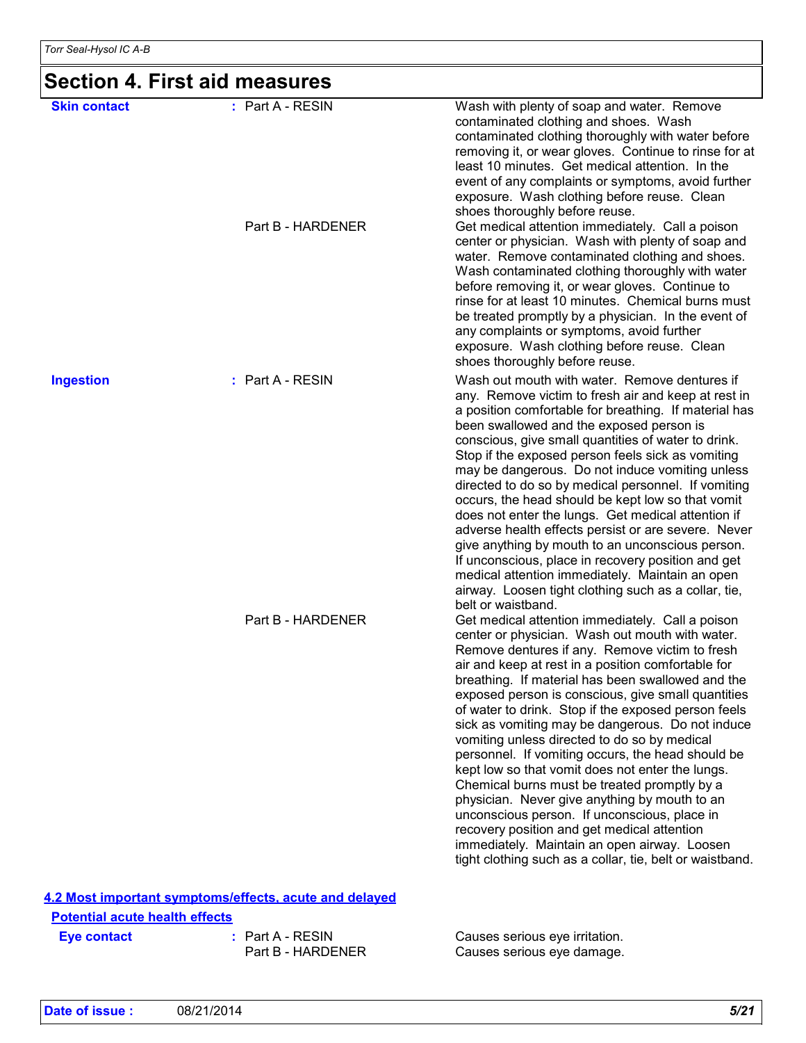### **Section 4. First aid measures**

| <b>Skin contact</b>            | $:$ Part A - RESIN                                     | Wash with plenty of soap and water. Remove<br>contaminated clothing and shoes. Wash<br>contaminated clothing thoroughly with water before<br>removing it, or wear gloves. Continue to rinse for at<br>least 10 minutes. Get medical attention. In the<br>event of any complaints or symptoms, avoid further<br>exposure. Wash clothing before reuse. Clean                                                                                                                                                                                                                                                                                                                                                                                                                                                                                                                                                                   |
|--------------------------------|--------------------------------------------------------|------------------------------------------------------------------------------------------------------------------------------------------------------------------------------------------------------------------------------------------------------------------------------------------------------------------------------------------------------------------------------------------------------------------------------------------------------------------------------------------------------------------------------------------------------------------------------------------------------------------------------------------------------------------------------------------------------------------------------------------------------------------------------------------------------------------------------------------------------------------------------------------------------------------------------|
|                                | Part B - HARDENER                                      | shoes thoroughly before reuse.<br>Get medical attention immediately. Call a poison<br>center or physician. Wash with plenty of soap and<br>water. Remove contaminated clothing and shoes.<br>Wash contaminated clothing thoroughly with water<br>before removing it, or wear gloves. Continue to<br>rinse for at least 10 minutes. Chemical burns must<br>be treated promptly by a physician. In the event of<br>any complaints or symptoms, avoid further<br>exposure. Wash clothing before reuse. Clean<br>shoes thoroughly before reuse.                                                                                                                                                                                                                                                                                                                                                                                  |
| <b>Ingestion</b>               | : Part A - RESIN                                       | Wash out mouth with water. Remove dentures if<br>any. Remove victim to fresh air and keep at rest in<br>a position comfortable for breathing. If material has<br>been swallowed and the exposed person is<br>conscious, give small quantities of water to drink.<br>Stop if the exposed person feels sick as vomiting<br>may be dangerous. Do not induce vomiting unless<br>directed to do so by medical personnel. If vomiting<br>occurs, the head should be kept low so that vomit<br>does not enter the lungs. Get medical attention if<br>adverse health effects persist or are severe. Never<br>give anything by mouth to an unconscious person.<br>If unconscious, place in recovery position and get<br>medical attention immediately. Maintain an open<br>airway. Loosen tight clothing such as a collar, tie,                                                                                                       |
|                                | Part B - HARDENER                                      | belt or waistband.<br>Get medical attention immediately. Call a poison<br>center or physician. Wash out mouth with water.<br>Remove dentures if any. Remove victim to fresh<br>air and keep at rest in a position comfortable for<br>breathing. If material has been swallowed and the<br>exposed person is conscious, give small quantities<br>of water to drink. Stop if the exposed person feels<br>sick as vomiting may be dangerous. Do not induce<br>vomiting unless directed to do so by medical<br>personnel. If vomiting occurs, the head should be<br>kept low so that vomit does not enter the lungs.<br>Chemical burns must be treated promptly by a<br>physician. Never give anything by mouth to an<br>unconscious person. If unconscious, place in<br>recovery position and get medical attention<br>immediately. Maintain an open airway. Loosen<br>tight clothing such as a collar, tie, belt or waistband. |
| Dotantial acute health offects | 4.2 Most important symptoms/effects, acute and delayed |                                                                                                                                                                                                                                                                                                                                                                                                                                                                                                                                                                                                                                                                                                                                                                                                                                                                                                                              |

**Eye contact :** Part A - RESIN<br>Part B - HARDENER **Potential acute health effects**

Part A - RESIN Causes serious eye irritation. Part B - HARDENER Causes serious eye damage.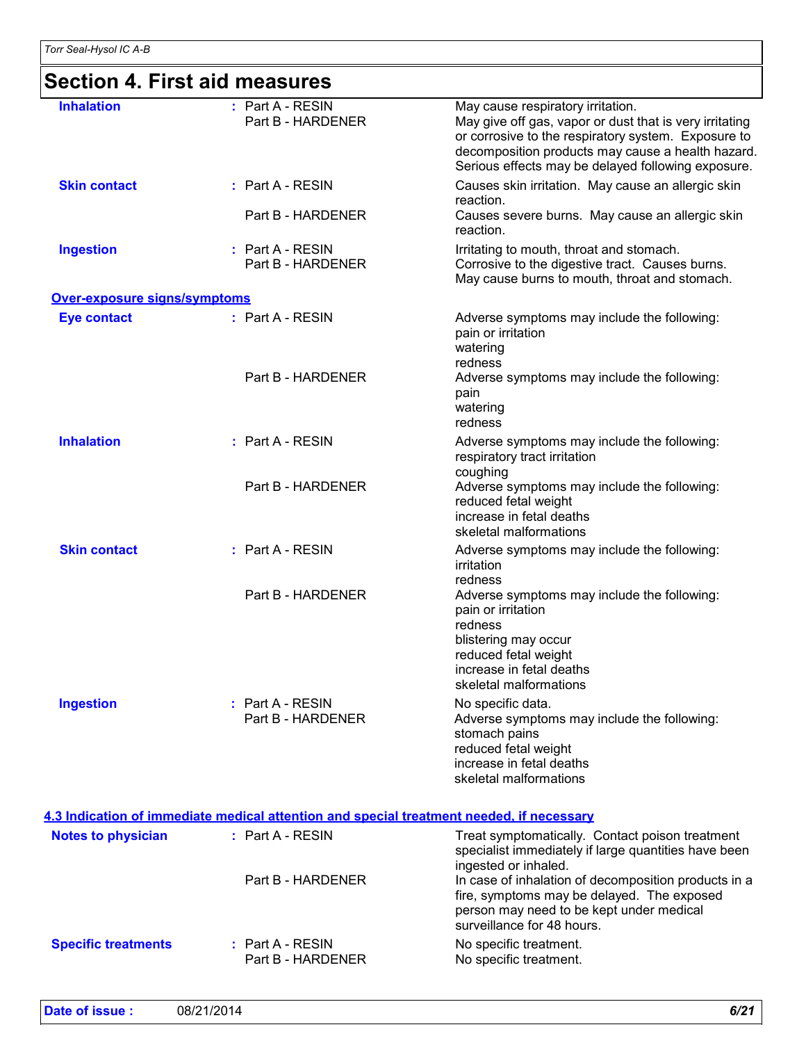# **Section 4. First aid measures**

| <b>Inhalation</b><br>: Part A - RESIN<br>May cause respiratory irritation.<br>Part B - HARDENER<br>May give off gas, vapor or dust that is very irritating<br>or corrosive to the respiratory system. Exposure to<br>decomposition products may cause a health hazard.<br>Serious effects may be delayed following exposure.<br><b>Skin contact</b><br>: Part A - RESIN<br>Causes skin irritation. May cause an allergic skin<br>reaction.<br>Part B - HARDENER<br>Causes severe burns. May cause an allergic skin<br>reaction.<br><b>Ingestion</b><br>: Part A - RESIN<br>Irritating to mouth, throat and stomach.<br>Corrosive to the digestive tract. Causes burns.<br>Part B - HARDENER<br>May cause burns to mouth, throat and stomach.<br><b>Over-exposure signs/symptoms</b><br>: Part A - RESIN<br><b>Eye contact</b><br>Adverse symptoms may include the following:<br>pain or irritation<br>watering<br>redness<br>Part B - HARDENER<br>Adverse symptoms may include the following:<br>pain<br>watering<br>redness<br><b>Inhalation</b><br>: Part A - RESIN<br>Adverse symptoms may include the following:<br>respiratory tract irritation<br>coughing<br>Part B - HARDENER<br>Adverse symptoms may include the following:<br>reduced fetal weight<br>increase in fetal deaths<br>skeletal malformations<br><b>Skin contact</b><br>: Part A - RESIN<br>Adverse symptoms may include the following:<br>irritation<br>redness<br>Part B - HARDENER<br>Adverse symptoms may include the following:<br>pain or irritation<br>redness<br>blistering may occur<br>reduced fetal weight<br>increase in fetal deaths<br>skeletal malformations<br><b>Ingestion</b><br>: Part A - RESIN<br>No specific data.<br>Part B - HARDENER<br>Adverse symptoms may include the following:<br>stomach pains<br>reduced fetal weight<br>increase in fetal deaths<br>skeletal malformations<br>4.3 Indication of immediate medical attention and special treatment needed, if necessary<br>: Part A - RESIN<br><b>Notes to physician</b><br>Treat symptomatically. Contact poison treatment<br>specialist immediately if large quantities have been<br>ingested or inhaled.<br>In case of inhalation of decomposition products in a<br>Part B - HARDENER<br>fire, symptoms may be delayed. The exposed<br>person may need to be kept under medical<br>surveillance for 48 hours.<br><b>Specific treatments</b><br>: Part A - RESIN<br>No specific treatment.<br>Part B - HARDENER<br>No specific treatment. |  |  |
|--------------------------------------------------------------------------------------------------------------------------------------------------------------------------------------------------------------------------------------------------------------------------------------------------------------------------------------------------------------------------------------------------------------------------------------------------------------------------------------------------------------------------------------------------------------------------------------------------------------------------------------------------------------------------------------------------------------------------------------------------------------------------------------------------------------------------------------------------------------------------------------------------------------------------------------------------------------------------------------------------------------------------------------------------------------------------------------------------------------------------------------------------------------------------------------------------------------------------------------------------------------------------------------------------------------------------------------------------------------------------------------------------------------------------------------------------------------------------------------------------------------------------------------------------------------------------------------------------------------------------------------------------------------------------------------------------------------------------------------------------------------------------------------------------------------------------------------------------------------------------------------------------------------------------------------------------------------------------------------------------------------------------------------------------------------------------------------------------------------------------------------------------------------------------------------------------------------------------------------------------------------------------------------------------------------------------------------------------------------------------------------------------------------------------------------------------------------------------------------------------|--|--|
|                                                                                                                                                                                                                                                                                                                                                                                                                                                                                                                                                                                                                                                                                                                                                                                                                                                                                                                                                                                                                                                                                                                                                                                                                                                                                                                                                                                                                                                                                                                                                                                                                                                                                                                                                                                                                                                                                                                                                                                                                                                                                                                                                                                                                                                                                                                                                                                                                                                                                                  |  |  |
|                                                                                                                                                                                                                                                                                                                                                                                                                                                                                                                                                                                                                                                                                                                                                                                                                                                                                                                                                                                                                                                                                                                                                                                                                                                                                                                                                                                                                                                                                                                                                                                                                                                                                                                                                                                                                                                                                                                                                                                                                                                                                                                                                                                                                                                                                                                                                                                                                                                                                                  |  |  |
|                                                                                                                                                                                                                                                                                                                                                                                                                                                                                                                                                                                                                                                                                                                                                                                                                                                                                                                                                                                                                                                                                                                                                                                                                                                                                                                                                                                                                                                                                                                                                                                                                                                                                                                                                                                                                                                                                                                                                                                                                                                                                                                                                                                                                                                                                                                                                                                                                                                                                                  |  |  |
|                                                                                                                                                                                                                                                                                                                                                                                                                                                                                                                                                                                                                                                                                                                                                                                                                                                                                                                                                                                                                                                                                                                                                                                                                                                                                                                                                                                                                                                                                                                                                                                                                                                                                                                                                                                                                                                                                                                                                                                                                                                                                                                                                                                                                                                                                                                                                                                                                                                                                                  |  |  |
|                                                                                                                                                                                                                                                                                                                                                                                                                                                                                                                                                                                                                                                                                                                                                                                                                                                                                                                                                                                                                                                                                                                                                                                                                                                                                                                                                                                                                                                                                                                                                                                                                                                                                                                                                                                                                                                                                                                                                                                                                                                                                                                                                                                                                                                                                                                                                                                                                                                                                                  |  |  |
|                                                                                                                                                                                                                                                                                                                                                                                                                                                                                                                                                                                                                                                                                                                                                                                                                                                                                                                                                                                                                                                                                                                                                                                                                                                                                                                                                                                                                                                                                                                                                                                                                                                                                                                                                                                                                                                                                                                                                                                                                                                                                                                                                                                                                                                                                                                                                                                                                                                                                                  |  |  |
|                                                                                                                                                                                                                                                                                                                                                                                                                                                                                                                                                                                                                                                                                                                                                                                                                                                                                                                                                                                                                                                                                                                                                                                                                                                                                                                                                                                                                                                                                                                                                                                                                                                                                                                                                                                                                                                                                                                                                                                                                                                                                                                                                                                                                                                                                                                                                                                                                                                                                                  |  |  |
|                                                                                                                                                                                                                                                                                                                                                                                                                                                                                                                                                                                                                                                                                                                                                                                                                                                                                                                                                                                                                                                                                                                                                                                                                                                                                                                                                                                                                                                                                                                                                                                                                                                                                                                                                                                                                                                                                                                                                                                                                                                                                                                                                                                                                                                                                                                                                                                                                                                                                                  |  |  |
|                                                                                                                                                                                                                                                                                                                                                                                                                                                                                                                                                                                                                                                                                                                                                                                                                                                                                                                                                                                                                                                                                                                                                                                                                                                                                                                                                                                                                                                                                                                                                                                                                                                                                                                                                                                                                                                                                                                                                                                                                                                                                                                                                                                                                                                                                                                                                                                                                                                                                                  |  |  |
|                                                                                                                                                                                                                                                                                                                                                                                                                                                                                                                                                                                                                                                                                                                                                                                                                                                                                                                                                                                                                                                                                                                                                                                                                                                                                                                                                                                                                                                                                                                                                                                                                                                                                                                                                                                                                                                                                                                                                                                                                                                                                                                                                                                                                                                                                                                                                                                                                                                                                                  |  |  |
|                                                                                                                                                                                                                                                                                                                                                                                                                                                                                                                                                                                                                                                                                                                                                                                                                                                                                                                                                                                                                                                                                                                                                                                                                                                                                                                                                                                                                                                                                                                                                                                                                                                                                                                                                                                                                                                                                                                                                                                                                                                                                                                                                                                                                                                                                                                                                                                                                                                                                                  |  |  |
|                                                                                                                                                                                                                                                                                                                                                                                                                                                                                                                                                                                                                                                                                                                                                                                                                                                                                                                                                                                                                                                                                                                                                                                                                                                                                                                                                                                                                                                                                                                                                                                                                                                                                                                                                                                                                                                                                                                                                                                                                                                                                                                                                                                                                                                                                                                                                                                                                                                                                                  |  |  |
|                                                                                                                                                                                                                                                                                                                                                                                                                                                                                                                                                                                                                                                                                                                                                                                                                                                                                                                                                                                                                                                                                                                                                                                                                                                                                                                                                                                                                                                                                                                                                                                                                                                                                                                                                                                                                                                                                                                                                                                                                                                                                                                                                                                                                                                                                                                                                                                                                                                                                                  |  |  |
|                                                                                                                                                                                                                                                                                                                                                                                                                                                                                                                                                                                                                                                                                                                                                                                                                                                                                                                                                                                                                                                                                                                                                                                                                                                                                                                                                                                                                                                                                                                                                                                                                                                                                                                                                                                                                                                                                                                                                                                                                                                                                                                                                                                                                                                                                                                                                                                                                                                                                                  |  |  |
|                                                                                                                                                                                                                                                                                                                                                                                                                                                                                                                                                                                                                                                                                                                                                                                                                                                                                                                                                                                                                                                                                                                                                                                                                                                                                                                                                                                                                                                                                                                                                                                                                                                                                                                                                                                                                                                                                                                                                                                                                                                                                                                                                                                                                                                                                                                                                                                                                                                                                                  |  |  |
|                                                                                                                                                                                                                                                                                                                                                                                                                                                                                                                                                                                                                                                                                                                                                                                                                                                                                                                                                                                                                                                                                                                                                                                                                                                                                                                                                                                                                                                                                                                                                                                                                                                                                                                                                                                                                                                                                                                                                                                                                                                                                                                                                                                                                                                                                                                                                                                                                                                                                                  |  |  |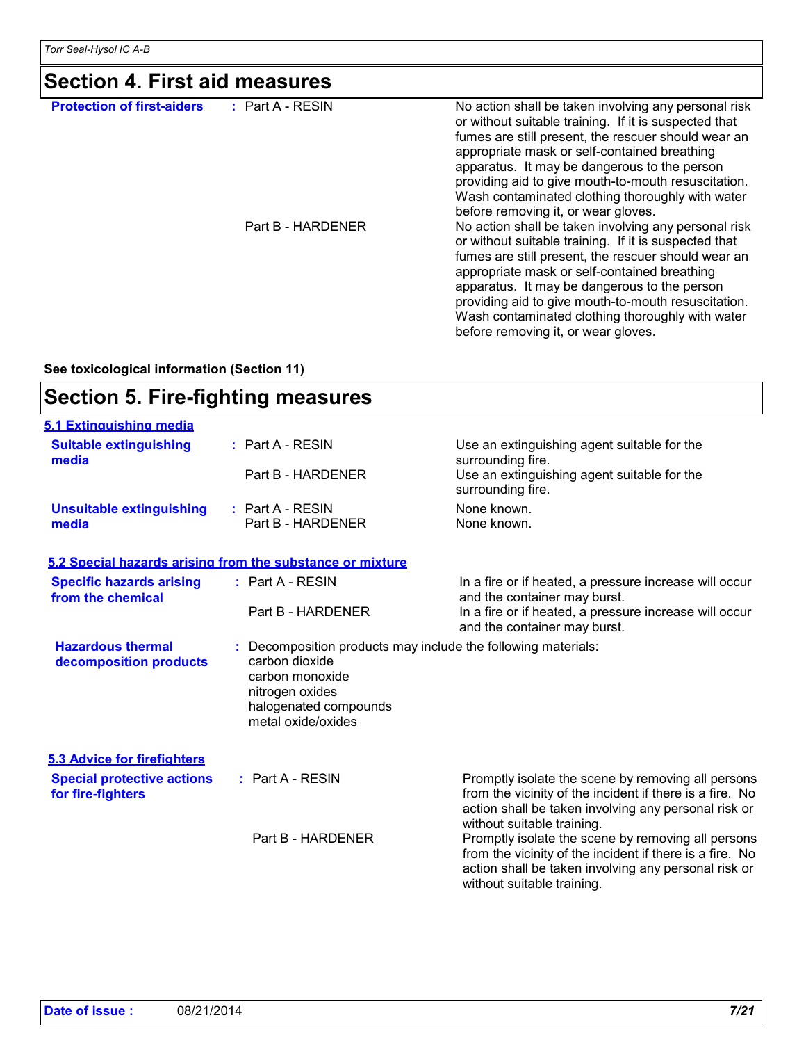*Torr Seal-Hysol IC A-B* 

| <b>Protection of first-aiders</b> | : Part A - RESIN  | No action shall be taken involving any personal risk<br>or without suitable training. If it is suspected that<br>fumes are still present, the rescuer should wear an<br>appropriate mask or self-contained breathing<br>apparatus. It may be dangerous to the person<br>providing aid to give mouth-to-mouth resuscitation.<br>Wash contaminated clothing thoroughly with water<br>before removing it, or wear gloves. |
|-----------------------------------|-------------------|------------------------------------------------------------------------------------------------------------------------------------------------------------------------------------------------------------------------------------------------------------------------------------------------------------------------------------------------------------------------------------------------------------------------|
|                                   | Part B - HARDENER | No action shall be taken involving any personal risk<br>or without suitable training. If it is suspected that<br>fumes are still present, the rescuer should wear an<br>appropriate mask or self-contained breathing<br>apparatus. It may be dangerous to the person<br>providing aid to give mouth-to-mouth resuscitation.<br>Wash contaminated clothing thoroughly with water<br>before removing it, or wear gloves. |

**See toxicological information (Section 11)**

### **Section 5. Fire-fighting measures**

| 5.1 Extinguishing media                                |                                                                                                     |                                                                                                                                                                                                      |
|--------------------------------------------------------|-----------------------------------------------------------------------------------------------------|------------------------------------------------------------------------------------------------------------------------------------------------------------------------------------------------------|
| <b>Suitable extinguishing</b><br>media                 | $:$ Part A - RESIN                                                                                  | Use an extinguishing agent suitable for the<br>surrounding fire.                                                                                                                                     |
|                                                        | Part B - HARDENER                                                                                   | Use an extinguishing agent suitable for the<br>surrounding fire.                                                                                                                                     |
| <b>Unsuitable extinguishing</b><br>media               | $:$ Part A - RESIN<br>Part B - HARDENER                                                             | None known.<br>None known.                                                                                                                                                                           |
|                                                        | 5.2 Special hazards arising from the substance or mixture                                           |                                                                                                                                                                                                      |
| <b>Specific hazards arising</b><br>from the chemical   | : Part A - RESIN                                                                                    | In a fire or if heated, a pressure increase will occur<br>and the container may burst.                                                                                                               |
|                                                        | Part B - HARDENER                                                                                   | In a fire or if heated, a pressure increase will occur<br>and the container may burst.                                                                                                               |
| <b>Hazardous thermal</b><br>decomposition products     | carbon dioxide<br>carbon monoxide<br>nitrogen oxides<br>halogenated compounds<br>metal oxide/oxides | Decomposition products may include the following materials:                                                                                                                                          |
| <b>5.3 Advice for firefighters</b>                     |                                                                                                     |                                                                                                                                                                                                      |
| <b>Special protective actions</b><br>for fire-fighters | $:$ Part A - RESIN                                                                                  | Promptly isolate the scene by removing all persons<br>from the vicinity of the incident if there is a fire. No<br>action shall be taken involving any personal risk or<br>without suitable training. |
|                                                        | Part B - HARDENER                                                                                   | Promptly isolate the scene by removing all persons<br>from the vicinity of the incident if there is a fire. No<br>action shall be taken involving any personal risk or<br>without suitable training. |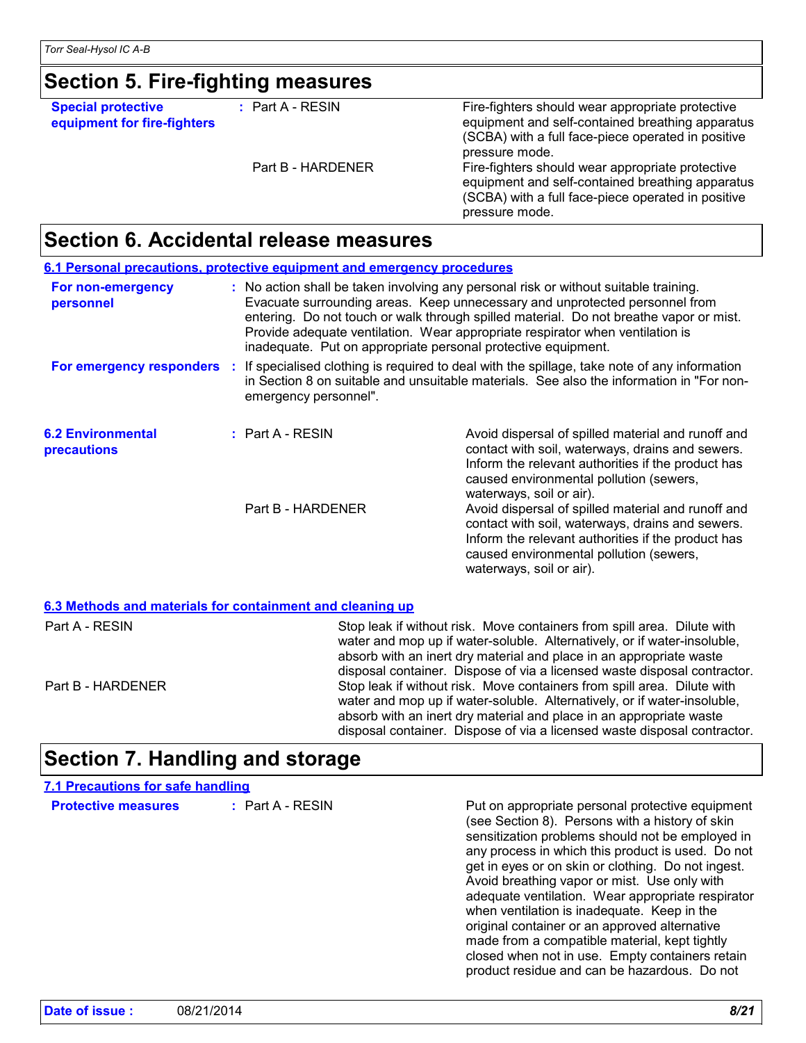### **Section 5. Fire-fighting measures**

**Special protective equipment for fire-fighters** **:** Part A - RESIN

Fire-fighters should wear appropriate protective equipment and self-contained breathing apparatus (SCBA) with a full face-piece operated in positive pressure mode. Part B - HARDENER Fire-fighters should wear appropriate protective equipment and self-contained breathing apparatus (SCBA) with a full face-piece operated in positive pressure mode.

### **Section 6. Accidental release measures**

|                                                | 6.1 Personal precautions, protective equipment and emergency procedures                                                                                                                                                                                                                                                                                                                                         |                                                                                                                                                                                                                                     |  |
|------------------------------------------------|-----------------------------------------------------------------------------------------------------------------------------------------------------------------------------------------------------------------------------------------------------------------------------------------------------------------------------------------------------------------------------------------------------------------|-------------------------------------------------------------------------------------------------------------------------------------------------------------------------------------------------------------------------------------|--|
| For non-emergency<br>personnel                 | : No action shall be taken involving any personal risk or without suitable training.<br>Evacuate surrounding areas. Keep unnecessary and unprotected personnel from<br>entering. Do not touch or walk through spilled material. Do not breathe vapor or mist.<br>Provide adequate ventilation. Wear appropriate respirator when ventilation is<br>inadequate. Put on appropriate personal protective equipment. |                                                                                                                                                                                                                                     |  |
| For emergency responders :                     | If specialised clothing is required to deal with the spillage, take note of any information<br>in Section 8 on suitable and unsuitable materials. See also the information in "For non-<br>emergency personnel".                                                                                                                                                                                                |                                                                                                                                                                                                                                     |  |
| <b>6.2 Environmental</b><br><b>precautions</b> | $:$ Part A - RESIN                                                                                                                                                                                                                                                                                                                                                                                              | Avoid dispersal of spilled material and runoff and<br>contact with soil, waterways, drains and sewers.<br>Inform the relevant authorities if the product has<br>caused environmental pollution (sewers,<br>waterways, soil or air). |  |
|                                                | Part B - HARDENER                                                                                                                                                                                                                                                                                                                                                                                               | Avoid dispersal of spilled material and runoff and<br>contact with soil, waterways, drains and sewers.<br>Inform the relevant authorities if the product has<br>caused environmental pollution (sewers,<br>waterways, soil or air). |  |
|                                                | 6.3 Methods and materials for containment and cleaning up                                                                                                                                                                                                                                                                                                                                                       |                                                                                                                                                                                                                                     |  |

| Part A - RESIN    | Stop leak if without risk. Move containers from spill area. Dilute with<br>water and mop up if water-soluble. Alternatively, or if water-insoluble,<br>absorb with an inert dry material and place in an appropriate waste<br>disposal container. Dispose of via a licensed waste disposal contractor. |
|-------------------|--------------------------------------------------------------------------------------------------------------------------------------------------------------------------------------------------------------------------------------------------------------------------------------------------------|
| Part B - HARDENER | Stop leak if without risk. Move containers from spill area. Dilute with<br>water and mop up if water-soluble. Alternatively, or if water-insoluble,<br>absorb with an inert dry material and place in an appropriate waste<br>disposal container. Dispose of via a licensed waste disposal contractor. |

## **Section 7. Handling and storage**

| 7.1 Precautions for safe handling |                    |                                                                                                                                                                                                                                                                                                                                                                                                                                                                                                                                                                                                                             |
|-----------------------------------|--------------------|-----------------------------------------------------------------------------------------------------------------------------------------------------------------------------------------------------------------------------------------------------------------------------------------------------------------------------------------------------------------------------------------------------------------------------------------------------------------------------------------------------------------------------------------------------------------------------------------------------------------------------|
| <b>Protective measures</b>        | $:$ Part A - RESIN | Put on appropriate personal protective equipment<br>(see Section 8). Persons with a history of skin<br>sensitization problems should not be employed in<br>any process in which this product is used. Do not<br>get in eyes or on skin or clothing. Do not ingest.<br>Avoid breathing vapor or mist. Use only with<br>adequate ventilation. Wear appropriate respirator<br>when ventilation is inadequate. Keep in the<br>original container or an approved alternative<br>made from a compatible material, kept tightly<br>closed when not in use. Empty containers retain<br>product residue and can be hazardous. Do not |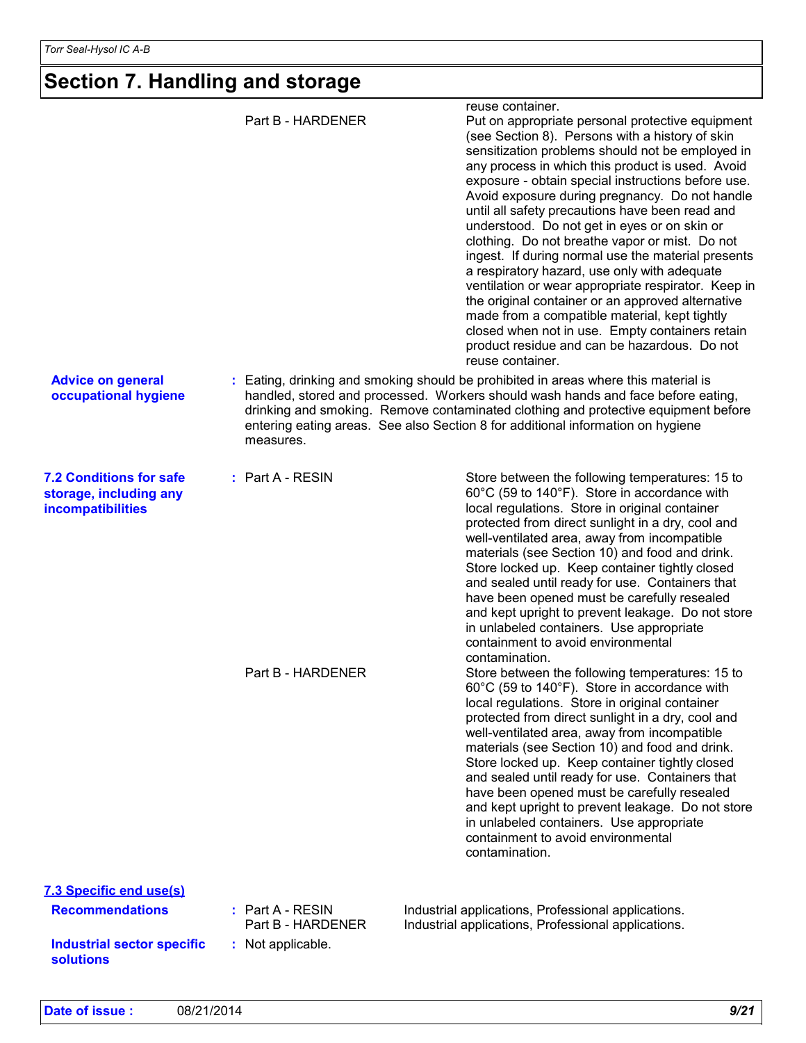# **Section 7. Handling and storage**

|                                                                                                            | Part B - HARDENER                                          | reuse container.<br>Put on appropriate personal protective equipment<br>(see Section 8). Persons with a history of skin<br>sensitization problems should not be employed in<br>any process in which this product is used. Avoid<br>exposure - obtain special instructions before use.<br>Avoid exposure during pregnancy. Do not handle<br>until all safety precautions have been read and<br>understood. Do not get in eyes or on skin or<br>clothing. Do not breathe vapor or mist. Do not<br>ingest. If during normal use the material presents<br>a respiratory hazard, use only with adequate<br>ventilation or wear appropriate respirator. Keep in<br>the original container or an approved alternative<br>made from a compatible material, kept tightly<br>closed when not in use. Empty containers retain<br>product residue and can be hazardous. Do not<br>reuse container.                                                                                                                                                                                                                                                                                                                                                         |
|------------------------------------------------------------------------------------------------------------|------------------------------------------------------------|------------------------------------------------------------------------------------------------------------------------------------------------------------------------------------------------------------------------------------------------------------------------------------------------------------------------------------------------------------------------------------------------------------------------------------------------------------------------------------------------------------------------------------------------------------------------------------------------------------------------------------------------------------------------------------------------------------------------------------------------------------------------------------------------------------------------------------------------------------------------------------------------------------------------------------------------------------------------------------------------------------------------------------------------------------------------------------------------------------------------------------------------------------------------------------------------------------------------------------------------|
| <b>Advice on general</b><br>occupational hygiene                                                           | measures.                                                  | : Eating, drinking and smoking should be prohibited in areas where this material is<br>handled, stored and processed. Workers should wash hands and face before eating,<br>drinking and smoking. Remove contaminated clothing and protective equipment before<br>entering eating areas. See also Section 8 for additional information on hygiene                                                                                                                                                                                                                                                                                                                                                                                                                                                                                                                                                                                                                                                                                                                                                                                                                                                                                               |
| <b>7.2 Conditions for safe</b><br>storage, including any<br><b>incompatibilities</b>                       | $:$ Part A - RESIN<br>Part B - HARDENER                    | Store between the following temperatures: 15 to<br>60°C (59 to 140°F). Store in accordance with<br>local regulations. Store in original container<br>protected from direct sunlight in a dry, cool and<br>well-ventilated area, away from incompatible<br>materials (see Section 10) and food and drink.<br>Store locked up. Keep container tightly closed<br>and sealed until ready for use. Containers that<br>have been opened must be carefully resealed<br>and kept upright to prevent leakage. Do not store<br>in unlabeled containers. Use appropriate<br>containment to avoid environmental<br>contamination.<br>Store between the following temperatures: 15 to<br>60°C (59 to 140°F). Store in accordance with<br>local regulations. Store in original container<br>protected from direct sunlight in a dry, cool and<br>well-ventilated area, away from incompatible<br>materials (see Section 10) and food and drink.<br>Store locked up. Keep container tightly closed<br>and sealed until ready for use. Containers that<br>have been opened must be carefully resealed<br>and kept upright to prevent leakage. Do not store<br>in unlabeled containers. Use appropriate<br>containment to avoid environmental<br>contamination. |
| 7.3 Specific end use(s)<br><b>Recommendations</b><br><b>Industrial sector specific</b><br><b>solutions</b> | : Part A - RESIN<br>Part B - HARDENER<br>: Not applicable. | Industrial applications, Professional applications.<br>Industrial applications, Professional applications.                                                                                                                                                                                                                                                                                                                                                                                                                                                                                                                                                                                                                                                                                                                                                                                                                                                                                                                                                                                                                                                                                                                                     |
|                                                                                                            |                                                            |                                                                                                                                                                                                                                                                                                                                                                                                                                                                                                                                                                                                                                                                                                                                                                                                                                                                                                                                                                                                                                                                                                                                                                                                                                                |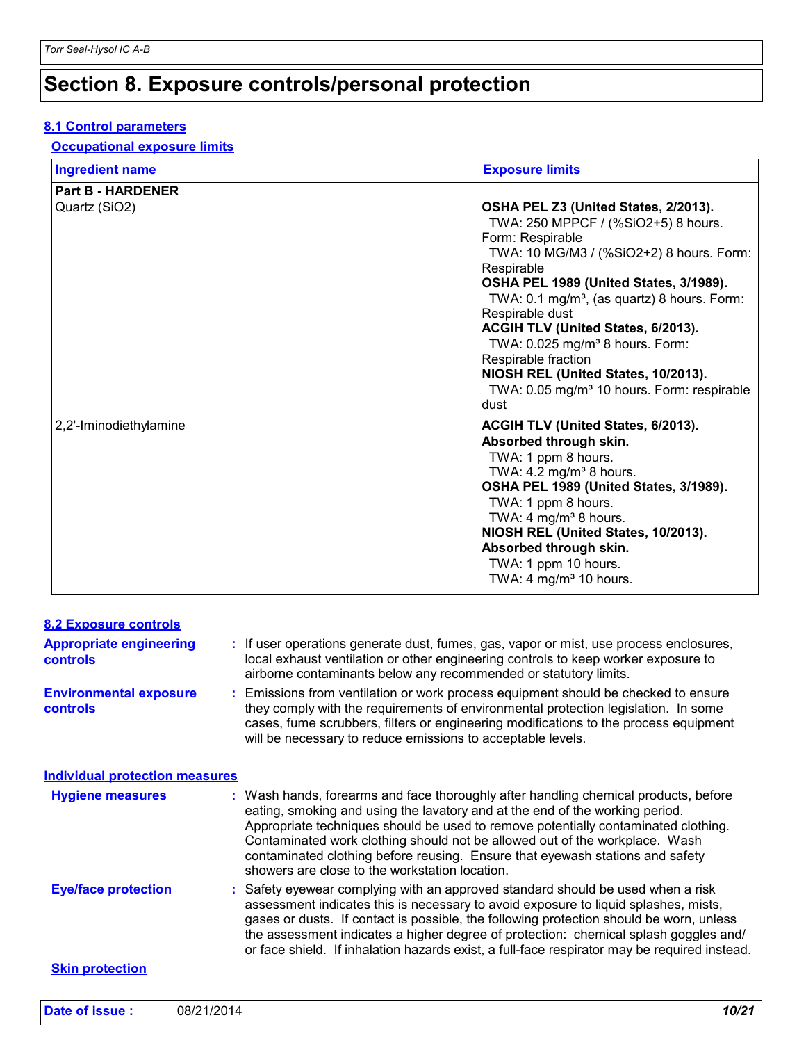## **Section 8. Exposure controls/personal protection**

#### **8.1 Control parameters**

#### **Occupational exposure limits**

| <b>Ingredient name</b>   | <b>Exposure limits</b>                                                                                                                                                                                                                                                                                                                                                                                                                                                                                |
|--------------------------|-------------------------------------------------------------------------------------------------------------------------------------------------------------------------------------------------------------------------------------------------------------------------------------------------------------------------------------------------------------------------------------------------------------------------------------------------------------------------------------------------------|
| <b>Part B - HARDENER</b> |                                                                                                                                                                                                                                                                                                                                                                                                                                                                                                       |
| Quartz (SiO2)            | OSHA PEL Z3 (United States, 2/2013).<br>TWA: 250 MPPCF / (%SiO2+5) 8 hours.<br>Form: Respirable<br>TWA: 10 MG/M3 / (%SiO2+2) 8 hours. Form:<br>Respirable<br>OSHA PEL 1989 (United States, 3/1989).<br>TWA: $0.1 \text{ mg/m}^3$ , (as quartz) 8 hours. Form:<br>Respirable dust<br>ACGIH TLV (United States, 6/2013).<br>TWA: 0.025 mg/m <sup>3</sup> 8 hours. Form:<br>Respirable fraction<br>NIOSH REL (United States, 10/2013).<br>TWA: 0.05 mg/m <sup>3</sup> 10 hours. Form: respirable<br>dust |
| 2,2'-Iminodiethylamine   | ACGIH TLV (United States, 6/2013).<br>Absorbed through skin.<br>TWA: 1 ppm 8 hours.<br>TWA: $4.2 \text{ mg/m}^3$ 8 hours.<br>OSHA PEL 1989 (United States, 3/1989).<br>TWA: 1 ppm 8 hours.<br>TWA: 4 $mg/m3$ 8 hours.<br>NIOSH REL (United States, 10/2013).<br>Absorbed through skin.<br>TWA: 1 ppm 10 hours.<br>TWA: 4 mg/m <sup>3</sup> 10 hours.                                                                                                                                                  |

| <b>8.2 Exposure controls</b>                      |                                                                                                                                                                                                                                                                                                                                                                                                                                                                           |  |
|---------------------------------------------------|---------------------------------------------------------------------------------------------------------------------------------------------------------------------------------------------------------------------------------------------------------------------------------------------------------------------------------------------------------------------------------------------------------------------------------------------------------------------------|--|
| <b>Appropriate engineering</b><br><b>controls</b> | : If user operations generate dust, fumes, gas, vapor or mist, use process enclosures,<br>local exhaust ventilation or other engineering controls to keep worker exposure to<br>airborne contaminants below any recommended or statutory limits.                                                                                                                                                                                                                          |  |
| <b>Environmental exposure</b><br>controls         | Emissions from ventilation or work process equipment should be checked to ensure<br>they comply with the requirements of environmental protection legislation. In some<br>cases, fume scrubbers, filters or engineering modifications to the process equipment<br>will be necessary to reduce emissions to acceptable levels.                                                                                                                                             |  |
| <b>Individual protection measures</b>             |                                                                                                                                                                                                                                                                                                                                                                                                                                                                           |  |
| <b>Hygiene measures</b>                           | Wash hands, forearms and face thoroughly after handling chemical products, before<br>eating, smoking and using the lavatory and at the end of the working period.<br>Appropriate techniques should be used to remove potentially contaminated clothing.<br>Contaminated work clothing should not be allowed out of the workplace. Wash<br>contaminated clothing before reusing. Ensure that eyewash stations and safety<br>showers are close to the workstation location. |  |
| <b>Eye/face protection</b>                        | Safety eyewear complying with an approved standard should be used when a risk<br>assessment indicates this is necessary to avoid exposure to liquid splashes, mists,<br>gases or dusts. If contact is possible, the following protection should be worn, unless<br>the assessment indicates a higher degree of protection: chemical splash goggles and/<br>or face shield. If inhalation hazards exist, a full-face respirator may be required instead.                   |  |
| <b>Skin protection</b>                            |                                                                                                                                                                                                                                                                                                                                                                                                                                                                           |  |
| Date of issue:                                    | 10/21<br>08/21/2014                                                                                                                                                                                                                                                                                                                                                                                                                                                       |  |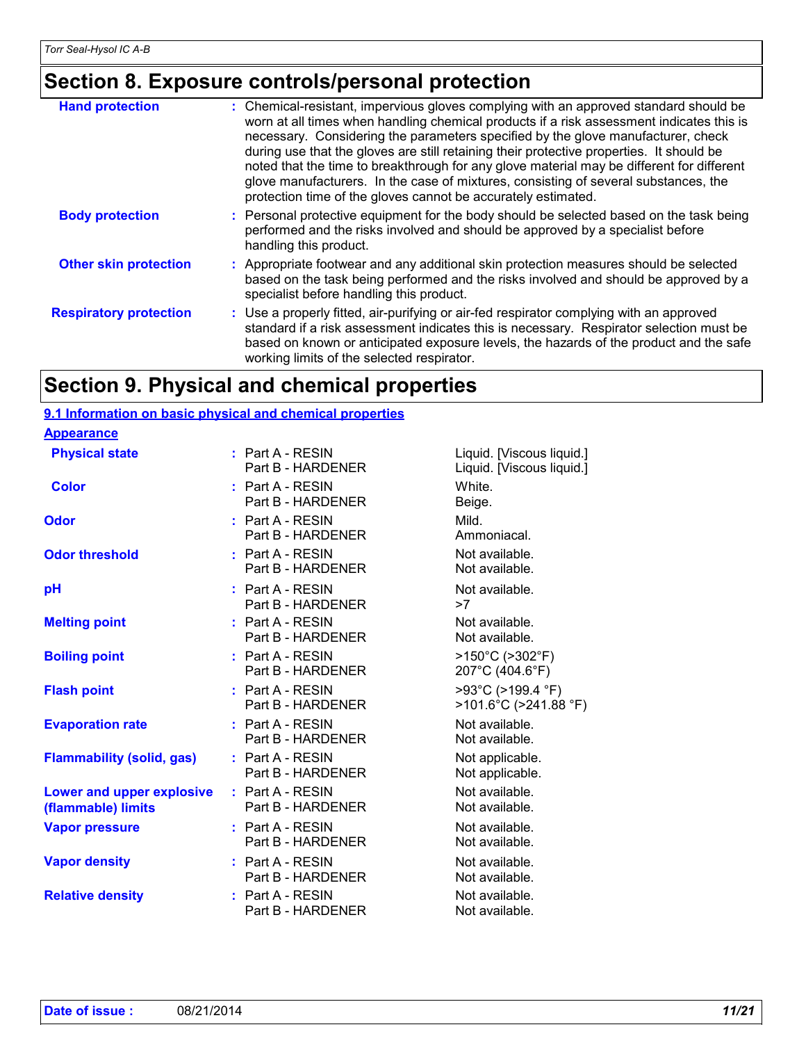### **Section 8. Exposure controls/personal protection**

| <b>Hand protection</b>        | : Chemical-resistant, impervious gloves complying with an approved standard should be<br>worn at all times when handling chemical products if a risk assessment indicates this is<br>necessary. Considering the parameters specified by the glove manufacturer, check<br>during use that the gloves are still retaining their protective properties. It should be<br>noted that the time to breakthrough for any glove material may be different for different<br>glove manufacturers. In the case of mixtures, consisting of several substances, the<br>protection time of the gloves cannot be accurately estimated. |
|-------------------------------|------------------------------------------------------------------------------------------------------------------------------------------------------------------------------------------------------------------------------------------------------------------------------------------------------------------------------------------------------------------------------------------------------------------------------------------------------------------------------------------------------------------------------------------------------------------------------------------------------------------------|
| <b>Body protection</b>        | : Personal protective equipment for the body should be selected based on the task being<br>performed and the risks involved and should be approved by a specialist before<br>handling this product.                                                                                                                                                                                                                                                                                                                                                                                                                    |
| <b>Other skin protection</b>  | : Appropriate footwear and any additional skin protection measures should be selected<br>based on the task being performed and the risks involved and should be approved by a<br>specialist before handling this product.                                                                                                                                                                                                                                                                                                                                                                                              |
| <b>Respiratory protection</b> | : Use a properly fitted, air-purifying or air-fed respirator complying with an approved<br>standard if a risk assessment indicates this is necessary. Respirator selection must be<br>based on known or anticipated exposure levels, the hazards of the product and the safe<br>working limits of the selected respirator.                                                                                                                                                                                                                                                                                             |

### **Section 9. Physical and chemical properties**

### **9.1 Information on basic physical and chemical properties**

#### **Appearance**

| <b>Physical state</b>                                  | $:$ Part A - RESIN<br>Part B - HARDENER | Liquid. [Viscous liquid.]<br>Liquid. [Viscous liquid.]  |
|--------------------------------------------------------|-----------------------------------------|---------------------------------------------------------|
| <b>Color</b>                                           | : Part A - RESIN<br>Part B - HARDENER   | White.<br>Beige.                                        |
| <b>Odor</b>                                            | $:$ Part A - RESIN<br>Part B - HARDENER | Mild.<br>Ammoniacal.                                    |
| <b>Odor threshold</b>                                  | $:$ Part A - RESIN<br>Part B - HARDENER | Not available.<br>Not available.                        |
| pH                                                     | : Part A - RESIN<br>Part B - HARDENER   | Not available.<br>>7                                    |
| <b>Melting point</b>                                   | $:$ Part A - RESIN<br>Part B - HARDENER | Not available.<br>Not available.                        |
| <b>Boiling point</b>                                   | $:$ Part A - RESIN<br>Part B - HARDENER | $>150^{\circ}$ C ( $>302^{\circ}$ F)<br>207°C (404.6°F) |
| <b>Flash point</b>                                     | $:$ Part A - RESIN<br>Part B - HARDENER | >93°C (>199.4 °F)<br>>101.6°C (>241.88 °F)              |
| <b>Evaporation rate</b>                                | $:$ Part A - RESIN<br>Part B - HARDENER | Not available.<br>Not available.                        |
| <b>Flammability (solid, gas)</b>                       | $:$ Part A - RESIN<br>Part B - HARDENER | Not applicable.<br>Not applicable.                      |
| <b>Lower and upper explosive</b><br>(flammable) limits | $:$ Part A - RESIN<br>Part B - HARDENER | Not available.<br>Not available.                        |
| <b>Vapor pressure</b>                                  | $:$ Part A - RESIN<br>Part B - HARDENER | Not available.<br>Not available.                        |
| <b>Vapor density</b>                                   | : Part A - RESIN<br>Part B - HARDENER   | Not available.<br>Not available.                        |
| <b>Relative density</b>                                | $:$ Part A - RESIN<br>Part B - HARDENER | Not available.<br>Not available.                        |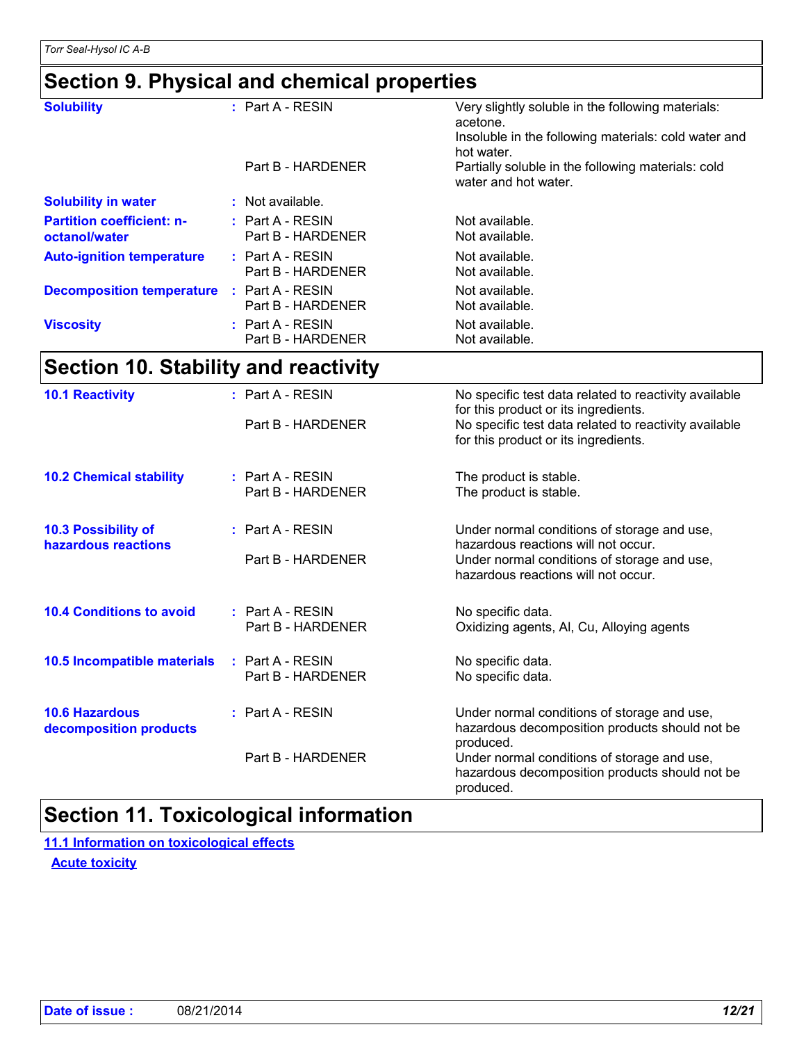**octanol/water**

**Partition coefficient: n-**

**Solubility in water :** Not available.

*Torr Seal-Hysol IC A-B* 

**Section 9. Physical and chemical properties**

**:** Part A - RESIN

**Auto-ignition temperature** : Part A - RESIN Not available.

**Decomposition temperature** : Part A - RESIN Not available.

**:** Part A - RESIN

**Viscosity Part A - RESIN Not available.** Not available.

#### **Section 10. Stability and reactivity 10.6 Hazardous decomposition products 10.4 Conditions to avoid Conduct A - RESIN Conducts A - RESIN Reserves A - RESIN Reserves A - RESIN Reserves A - RESIN Reserves A - RESIN Reserves A - RESIN Reserves A - RESIN Reserves A - RESIN Reserves A - RESIN Reserve** Part B - HARDENER **Oxidizing agents, Al, Cu, Alloying agents** Under normal conditions of storage and use, hazardous decomposition products should not be produced. Part B - HARDENER Under normal conditions of storage and use, hazardous decomposition products should not be produced. Part A - RESIN The product is stable.<br>
Part B - HARDENER The product is stable. The product is stable. **10.2 Chemical stability** : Part A - RESIN No specific data. Part B - HARDENER No specific data. **:** Part A - RESIN **: : 10.5 Incompatible materials : 10.3 Possibility of hazardous reactions :** Part A - RESIN Under normal conditions of storage and use, hazardous reactions will not occur. Part B - HARDENER Under normal conditions of storage and use. hazardous reactions will not occur. **10.1 Reactivity 10.1 Reactivity 10.1 Reactivity 10.1 Reactivity** available for this product or its ingredients. Part B - HARDENER No specific test data related to reactivity available for this product or its ingredients.

**Solubility Part A - RESIN** Very slightly soluble in the following materials:

Part B - HARDENER Not available.

Part B - HARDENER Not available.

Part B - HARDENER Not available.

**:** Part A - RESIN Not available. Part B - HARDENER Not available.

acetone.

hot water. Part B - HARDENER Partially soluble in the following materials: cold

water and hot water.

Insoluble in the following materials: cold water and

### **Section 11. Toxicological information**

**Acute toxicity 11.1 Information on toxicological effects**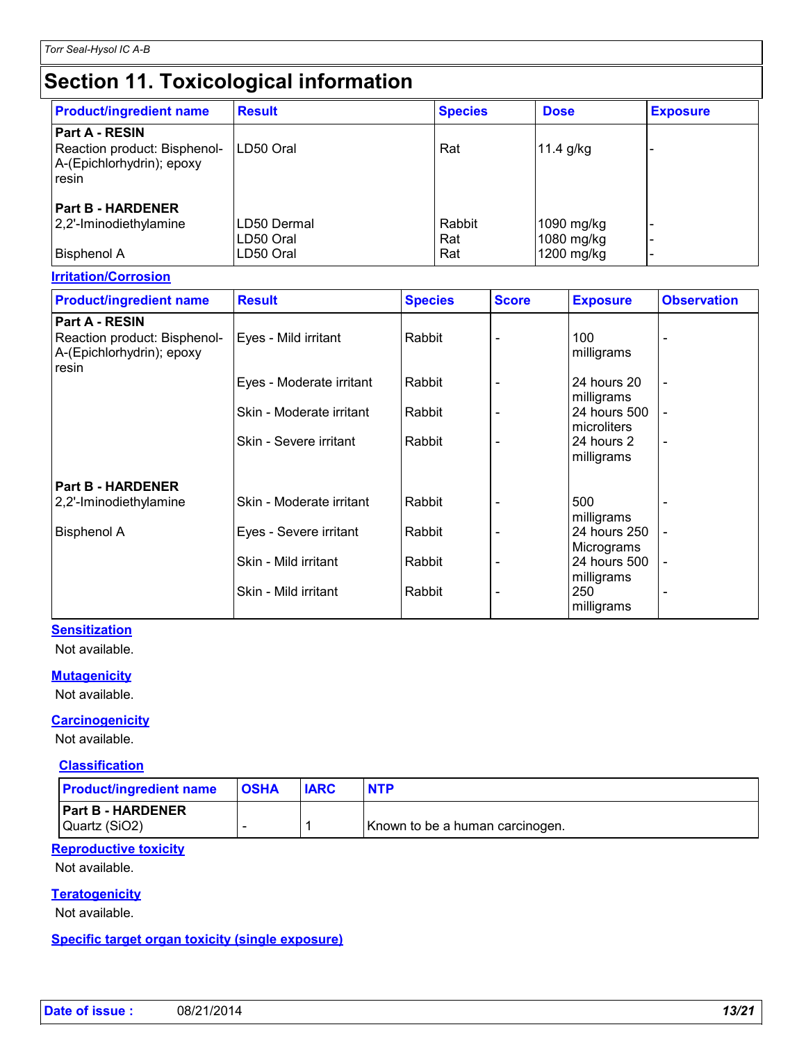| <b>Product/ingredient name</b>                                                              | <b>Result</b>          | <b>Species</b> | <b>Dose</b>              | <b>Exposure</b> |
|---------------------------------------------------------------------------------------------|------------------------|----------------|--------------------------|-----------------|
| <b>Part A - RESIN</b><br>Reaction product: Bisphenol-<br>A-(Epichlorhydrin); epoxy<br>resin | LD50 Oral              | Rat            | 11.4 $g/kg$              |                 |
| <b>Part B - HARDENER</b><br>2,2'-Iminodiethylamine                                          | LD50 Dermal            | Rabbit         | 1090 mg/kg               |                 |
| <b>Bisphenol A</b>                                                                          | LD50 Oral<br>LD50 Oral | Rat<br>Rat     | 1080 mg/kg<br>1200 mg/kg |                 |

### **Irritation/Corrosion**

| <b>Product/ingredient name</b>                                     | <b>Result</b>            | <b>Species</b> | <b>Score</b> | <b>Exposure</b>             | <b>Observation</b>       |
|--------------------------------------------------------------------|--------------------------|----------------|--------------|-----------------------------|--------------------------|
| <b>Part A - RESIN</b>                                              |                          |                |              |                             |                          |
| Reaction product: Bisphenol-<br>A-(Epichlorhydrin); epoxy<br>resin | Eyes - Mild irritant     | Rabbit         |              | 100<br>milligrams           |                          |
|                                                                    | Eyes - Moderate irritant | Rabbit         |              | 24 hours 20<br>milligrams   | $\overline{\phantom{a}}$ |
|                                                                    | Skin - Moderate irritant | Rabbit         |              | 24 hours 500<br>microliters |                          |
|                                                                    | Skin - Severe irritant   | Rabbit         |              | 24 hours 2<br>milligrams    | $\overline{a}$           |
| <b>Part B - HARDENER</b>                                           |                          |                |              |                             |                          |
| 2,2'-Iminodiethylamine                                             | Skin - Moderate irritant | Rabbit         |              | 500<br>milligrams           |                          |
| <b>Bisphenol A</b>                                                 | Eyes - Severe irritant   | Rabbit         |              | 24 hours 250<br>Micrograms  | L,                       |
|                                                                    | Skin - Mild irritant     | Rabbit         |              | 24 hours 500<br>milligrams  |                          |
|                                                                    | Skin - Mild irritant     | Rabbit         |              | 250<br>milligrams           |                          |

#### **Sensitization**

Not available.

#### **Mutagenicity**

Not available.

#### **Carcinogenicity**

Not available.

#### **Classification**

| <b>OSHA</b><br><b>Product/ingredient name</b> | <b>IARC</b> | <b>NTP</b>                      |
|-----------------------------------------------|-------------|---------------------------------|
| <b>Part B - HARDENER</b><br>Quartz (SiO2)     |             | Known to be a human carcinogen. |

#### **Reproductive toxicity**

Not available.

#### **Teratogenicity**

Not available.

#### **Specific target organ toxicity (single exposure)**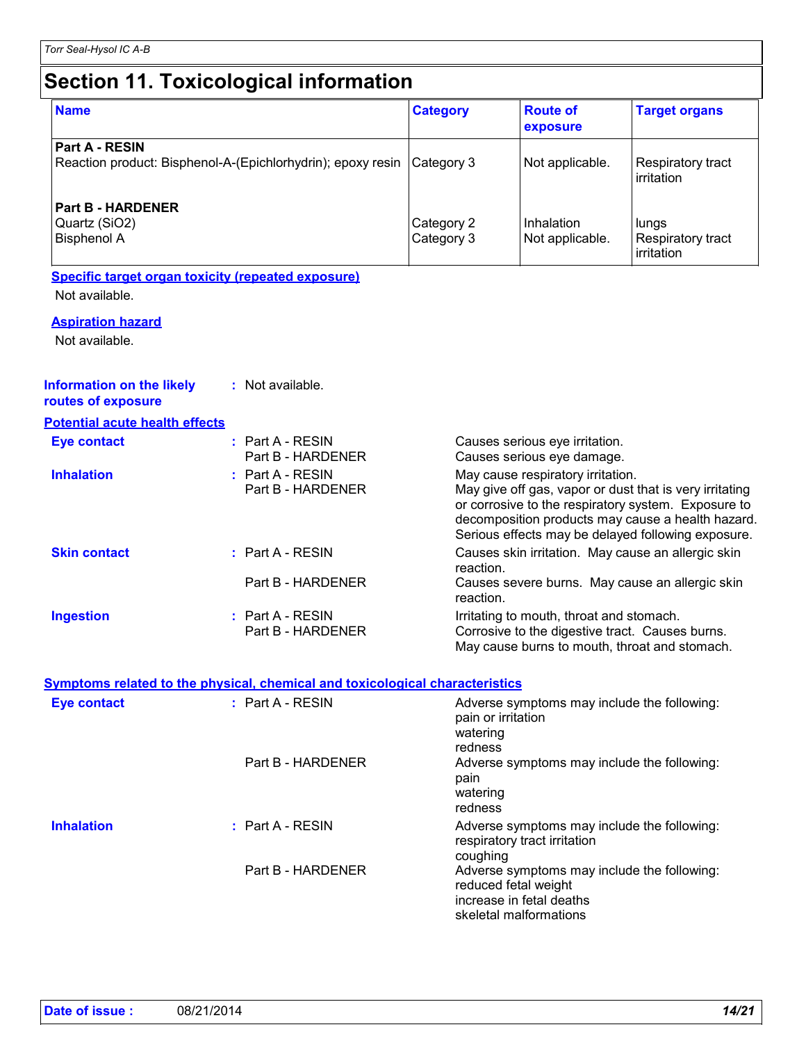| <b>Name</b>                                                            | <b>Category</b> | <b>Route of</b><br>exposure | <b>Target organs</b>                           |
|------------------------------------------------------------------------|-----------------|-----------------------------|------------------------------------------------|
| <b>Part A - RESIN</b>                                                  |                 |                             |                                                |
| Reaction product: Bisphenol-A-(Epichlorhydrin); epoxy resin Category 3 |                 | Not applicable.             | Respiratory tract<br>irritation                |
| <b>Part B - HARDENER</b>                                               |                 |                             |                                                |
| Quartz (SiO2)                                                          | Category 2      | Inhalation                  | lungs                                          |
| <b>Bisphenol A</b>                                                     | Category 3      | Not applicable.             | <b>Respiratory tract</b><br><b>lirritation</b> |

#### **Specific target organ toxicity (repeated exposure)**

Not available.

#### **Aspiration hazard**

Not available.

| Information on the likely<br>routes of exposure | : Not available.                                                                    |                                                                                                                                                                                                                                                                |
|-------------------------------------------------|-------------------------------------------------------------------------------------|----------------------------------------------------------------------------------------------------------------------------------------------------------------------------------------------------------------------------------------------------------------|
| <b>Potential acute health effects</b>           |                                                                                     |                                                                                                                                                                                                                                                                |
| Eye contact                                     | $:$ Part A - RESIN<br>Part B - HARDENER                                             | Causes serious eye irritation.<br>Causes serious eye damage.                                                                                                                                                                                                   |
| <b>Inhalation</b>                               | : Part A - RESIN<br>Part B - HARDENER                                               | May cause respiratory irritation.<br>May give off gas, vapor or dust that is very irritating<br>or corrosive to the respiratory system. Exposure to<br>decomposition products may cause a health hazard.<br>Serious effects may be delayed following exposure. |
| <b>Skin contact</b>                             | : Part A - RESIN                                                                    | Causes skin irritation. May cause an allergic skin<br>reaction.                                                                                                                                                                                                |
|                                                 | Part B - HARDENER                                                                   | Causes severe burns. May cause an allergic skin<br>reaction.                                                                                                                                                                                                   |
| <b>Ingestion</b>                                | $:$ Part A - RESIN<br>Part B - HARDENER                                             | Irritating to mouth, throat and stomach.<br>Corrosive to the digestive tract. Causes burns.<br>May cause burns to mouth, throat and stomach.                                                                                                                   |
|                                                 | <b>Symptoms related to the physical, chemical and toxicological characteristics</b> |                                                                                                                                                                                                                                                                |
| <b>Eye contact</b>                              | : Part A - RESIN                                                                    | Adverse symptoms may include the following:<br>pain or irritation<br>watering<br>redness                                                                                                                                                                       |
|                                                 | Part B - HARDENER                                                                   | Adverse symptoms may include the following:<br>pain<br>watering<br>redness                                                                                                                                                                                     |
| <b>Inhalation</b>                               | $:$ Part A - RESIN                                                                  | Adverse symptoms may include the following:<br>respiratory tract irritation                                                                                                                                                                                    |

Part B - HARDENER Adverse symptoms may include the following:

coughing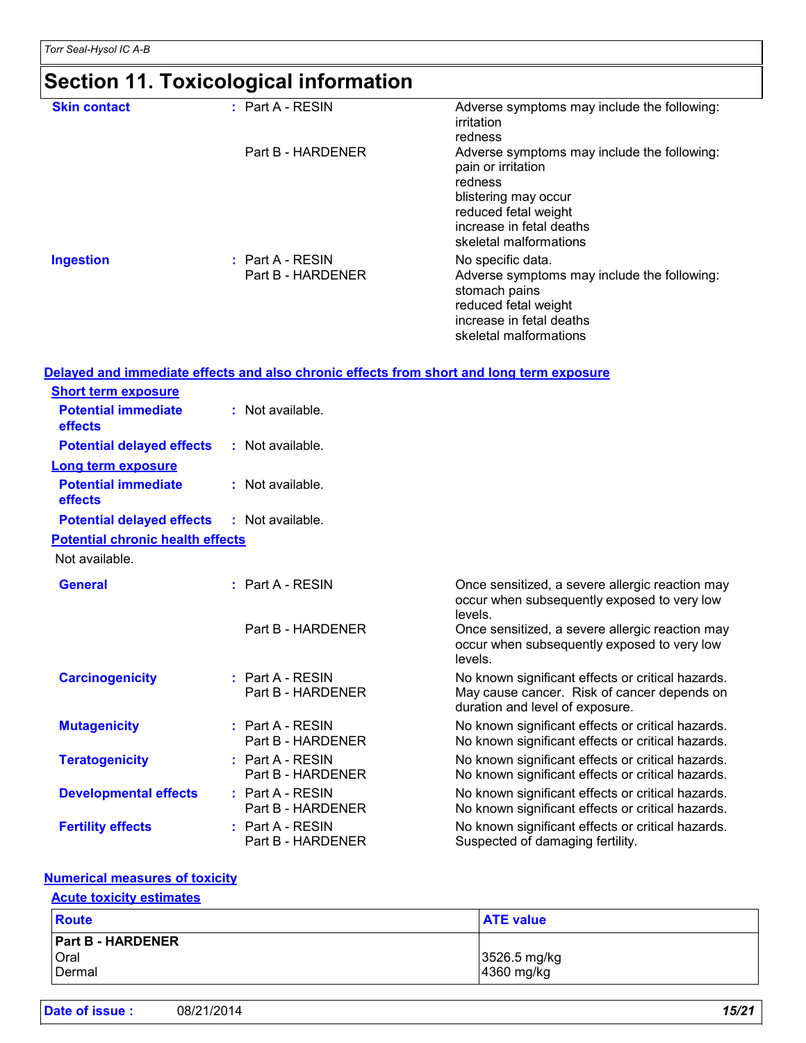| <b>Skin contact</b> | $:$ Part A - RESIN                      | Adverse symptoms may include the following:<br>irritation                                                                                                       |
|---------------------|-----------------------------------------|-----------------------------------------------------------------------------------------------------------------------------------------------------------------|
|                     | Part B - HARDENER                       | redness<br>Adverse symptoms may include the following:<br>pain or irritation                                                                                    |
|                     |                                         | redness<br>blistering may occur<br>reduced fetal weight<br>increase in fetal deaths<br>skeletal malformations                                                   |
| <b>Ingestion</b>    | $:$ Part A - RESIN<br>Part B - HARDENER | No specific data.<br>Adverse symptoms may include the following:<br>stomach pains<br>reduced fetal weight<br>increase in fetal deaths<br>skeletal malformations |

|                                         |                                         | <u>Delayed and immediate effects and also chronic effects from short and long term exposure</u>                                     |
|-----------------------------------------|-----------------------------------------|-------------------------------------------------------------------------------------------------------------------------------------|
| <b>Short term exposure</b>              |                                         |                                                                                                                                     |
| <b>Potential immediate</b><br>effects   | : Not available.                        |                                                                                                                                     |
| <b>Potential delayed effects</b>        | : Not available.                        |                                                                                                                                     |
| <b>Long term exposure</b>               |                                         |                                                                                                                                     |
| <b>Potential immediate</b><br>effects   | : Not available.                        |                                                                                                                                     |
| <b>Potential delayed effects</b>        | : Not available.                        |                                                                                                                                     |
| <b>Potential chronic health effects</b> |                                         |                                                                                                                                     |
| Not available.                          |                                         |                                                                                                                                     |
| <b>General</b>                          | $:$ Part A - RESIN                      | Once sensitized, a severe allergic reaction may<br>occur when subsequently exposed to very low<br>levels.                           |
|                                         | Part B - HARDENER                       | Once sensitized, a severe allergic reaction may<br>occur when subsequently exposed to very low<br>levels.                           |
| <b>Carcinogenicity</b>                  | $:$ Part A - RESIN<br>Part B - HARDENER | No known significant effects or critical hazards.<br>May cause cancer. Risk of cancer depends on<br>duration and level of exposure. |
| <b>Mutagenicity</b>                     | $:$ Part A - RESIN<br>Part B - HARDENER | No known significant effects or critical hazards.<br>No known significant effects or critical hazards.                              |
| <b>Teratogenicity</b>                   | $:$ Part A - RESIN<br>Part B - HARDENER | No known significant effects or critical hazards.<br>No known significant effects or critical hazards.                              |
| <b>Developmental effects</b>            | $:$ Part A - RESIN<br>Part B - HARDENER | No known significant effects or critical hazards.<br>No known significant effects or critical hazards.                              |
| <b>Fertility effects</b>                | $:$ Part A - RESIN<br>Part B - HARDENER | No known significant effects or critical hazards.<br>Suspected of damaging fertility.                                               |

#### **Numerical measures of toxicity**

#### **Acute toxicity estimates**

| <b>Route</b>                               | <b>ATE value</b>           |
|--------------------------------------------|----------------------------|
| <b>Part B - HARDENER</b><br>Oral<br>Dermal | 3526.5 mg/kg<br>4360 mg/kg |

| Date of issue: | 08/21/2014 | 15/21 |
|----------------|------------|-------|
|----------------|------------|-------|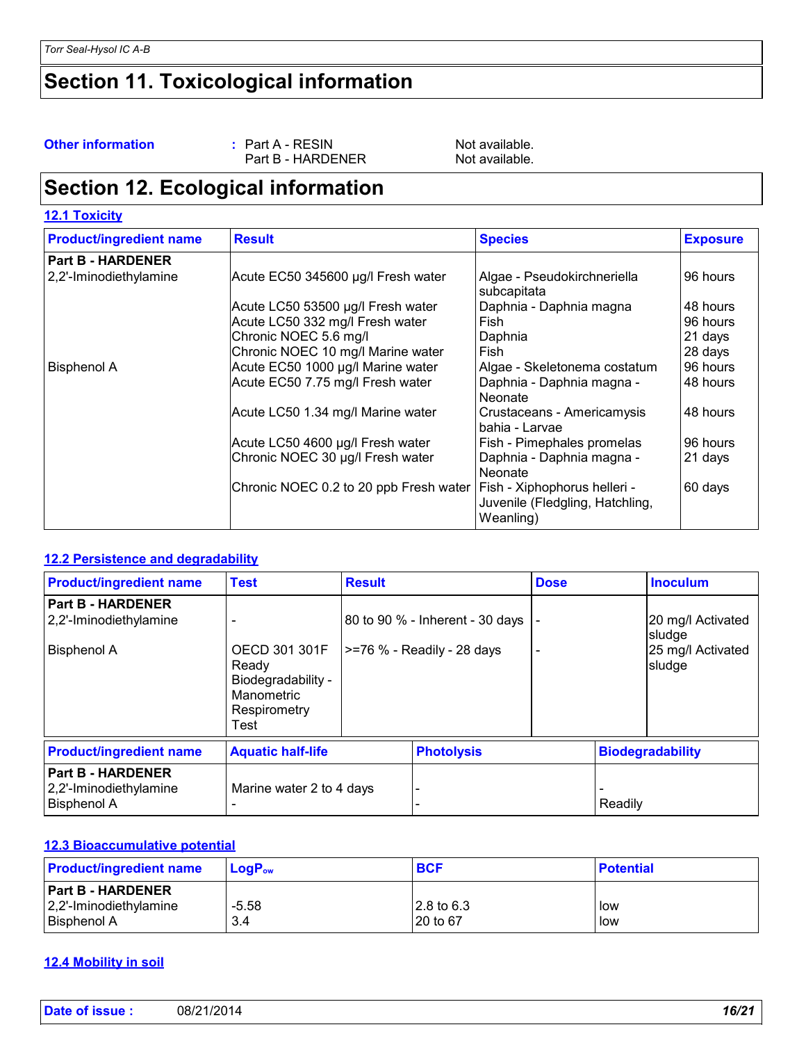**Other information :** Part A - RESIN Not available.<br>Part B - HARDENER Not available. Part B - HARDENER

### **Section 12. Ecological information**

| <b>Product/ingredient name</b> | <b>Result</b>                                                         | <b>Species</b>                               | <b>Exposure</b> |
|--------------------------------|-----------------------------------------------------------------------|----------------------------------------------|-----------------|
| <b>Part B - HARDENER</b>       |                                                                       |                                              |                 |
| 2,2'-Iminodiethylamine         | Acute EC50 345600 µg/l Fresh water                                    | Algae - Pseudokirchneriella<br>subcapitata   | 96 hours        |
|                                | Acute LC50 53500 µg/l Fresh water                                     | Daphnia - Daphnia magna                      | 48 hours        |
|                                | Acute LC50 332 mg/l Fresh water                                       | Fish                                         | 96 hours        |
|                                | Chronic NOEC 5.6 mg/l                                                 | Daphnia                                      | 21 days         |
|                                | Chronic NOEC 10 mg/l Marine water                                     | Fish                                         | 28 days         |
| <b>Bisphenol A</b>             | Acute EC50 1000 µg/l Marine water                                     | Algae - Skeletonema costatum                 | 96 hours        |
|                                | Acute EC50 7.75 mg/l Fresh water                                      | Daphnia - Daphnia magna -<br>Neonate         | 48 hours        |
|                                | Acute LC50 1.34 mg/l Marine water                                     | Crustaceans - Americamysis<br>bahia - Larvae | 48 hours        |
|                                | Acute LC50 4600 µg/l Fresh water                                      | Fish - Pimephales promelas                   | 96 hours        |
|                                | Chronic NOEC 30 µg/l Fresh water                                      | Daphnia - Daphnia magna -<br>Neonate         | 21 days         |
|                                | Chronic NOEC 0.2 to 20 ppb Fresh water   Fish - Xiphophorus helleri - | Juvenile (Fledgling, Hatchling,<br>Weanling) | 60 days         |

#### **12.2 Persistence and degradability**

| <b>Product/ingredient name</b>                                           | <b>Test</b>                                                                        | <b>Result</b> |                                                                  | <b>Dose</b>       |         | <b>Inoculum</b>                                            |  |
|--------------------------------------------------------------------------|------------------------------------------------------------------------------------|---------------|------------------------------------------------------------------|-------------------|---------|------------------------------------------------------------|--|
| <b>Part B - HARDENER</b><br>2,2'-Iminodiethylamine<br><b>Bisphenol A</b> | OECD 301 301F<br>Ready<br>Biodegradability -<br>Manometric<br>Respirometry<br>Test |               | 80 to 90 % - Inherent - 30 days<br>$ >=76$ % - Readily - 28 days |                   |         | 20 mg/l Activated<br>sludge<br>25 mg/l Activated<br>sludge |  |
| <b>Product/ingredient name</b>                                           | <b>Aquatic half-life</b>                                                           |               |                                                                  | <b>Photolysis</b> |         | <b>Biodegradability</b>                                    |  |
| <b>Part B - HARDENER</b><br>2,2'-Iminodiethylamine<br><b>Bisphenol A</b> | Marine water 2 to 4 days                                                           |               |                                                                  |                   | Readily |                                                            |  |

#### **12.3 Bioaccumulative potential**

| <b>Product/ingredient name</b>                                               | $LogP_{ow}$    | <b>BCF</b>              | <b>Potential</b> |
|------------------------------------------------------------------------------|----------------|-------------------------|------------------|
| <b>Part B - HARDENER</b><br>$ 2,2$ '-Iminodiethylamine<br><b>Bisphenol A</b> | $-5.58$<br>3.4 | l2.8 to 6.3<br>20 to 67 | low<br>low       |

#### **12.4 Mobility in soil**

| Date of issue: | 08/21/2014 | 16/21 |
|----------------|------------|-------|
|                |            |       |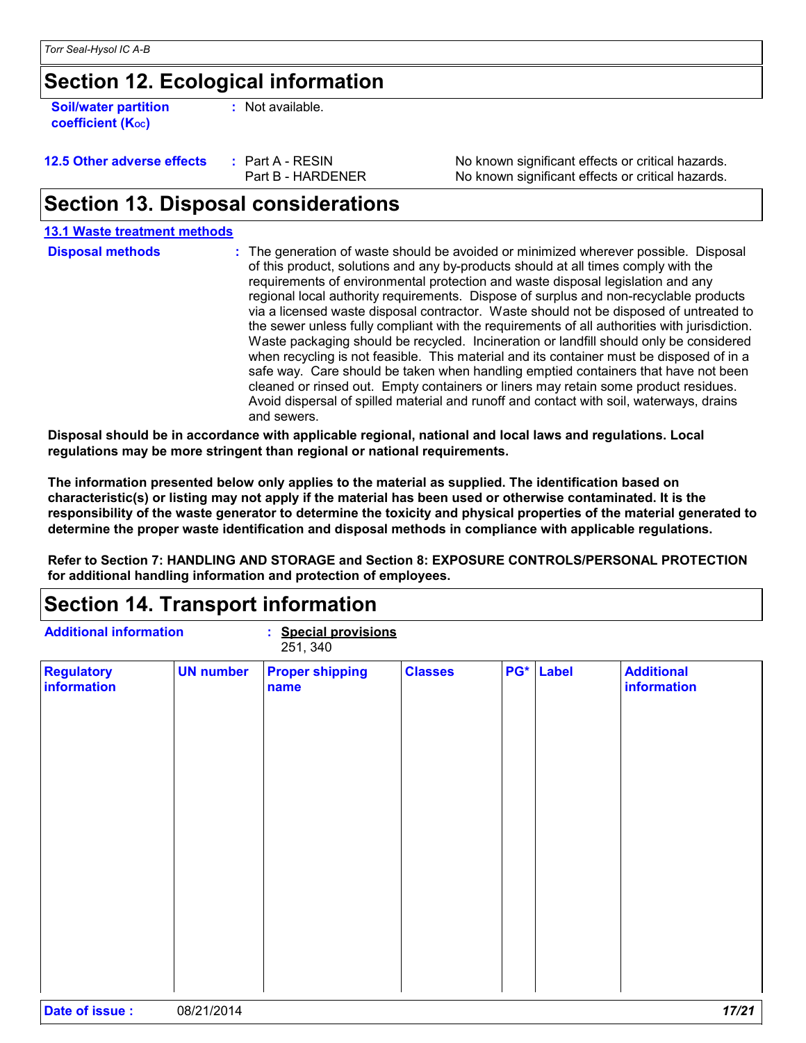**Soil/water partition coefficient (KOC)**

**:** Not available.

| 12.5 Other adverse effects | : Pa |
|----------------------------|------|
|                            | Pэ   |

**12.5 Interest A - RESIN No known significant effects or critical hazards.** Part B - HARDENER No known significant effects or critical hazards.

### **Section 13. Disposal considerations**

#### The generation of waste should be avoided or minimized wherever possible. Disposal of this product, solutions and any by-products should at all times comply with the requirements of environmental protection and waste disposal legislation and any regional local authority requirements. Dispose of surplus and non-recyclable products via a licensed waste disposal contractor. Waste should not be disposed of untreated to the sewer unless fully compliant with the requirements of all authorities with jurisdiction. Waste packaging should be recycled. Incineration or landfill should only be considered when recycling is not feasible. This material and its container must be disposed of in a safe way. Care should be taken when handling emptied containers that have not been cleaned or rinsed out. Empty containers or liners may retain some product residues. Avoid dispersal of spilled material and runoff and contact with soil, waterways, drains and sewers. **Disposal methods : Disposal should be in accordance with applicable regional, national and local laws and regulations. Local 13.1 Waste treatment methods**

**regulations may be more stringent than regional or national requirements.**

**The information presented below only applies to the material as supplied. The identification based on characteristic(s) or listing may not apply if the material has been used or otherwise contaminated. It is the responsibility of the waste generator to determine the toxicity and physical properties of the material generated to determine the proper waste identification and disposal methods in compliance with applicable regulations.**

**Refer to Section 7: HANDLING AND STORAGE and Section 8: EXPOSURE CONTROLS/PERSONAL PROTECTION for additional handling information and protection of employees.**

### **Section 14. Transport information**

| <b>Regulatory</b><br>information | <b>UN number</b> | <b>Proper shipping</b><br>name | <b>Classes</b> | PG* Label | <b>Additional</b><br>information |
|----------------------------------|------------------|--------------------------------|----------------|-----------|----------------------------------|
|                                  |                  |                                |                |           |                                  |
|                                  |                  |                                |                |           |                                  |
|                                  |                  |                                |                |           |                                  |
|                                  |                  |                                |                |           |                                  |
|                                  |                  |                                |                |           |                                  |
|                                  |                  |                                |                |           |                                  |
|                                  |                  |                                |                |           |                                  |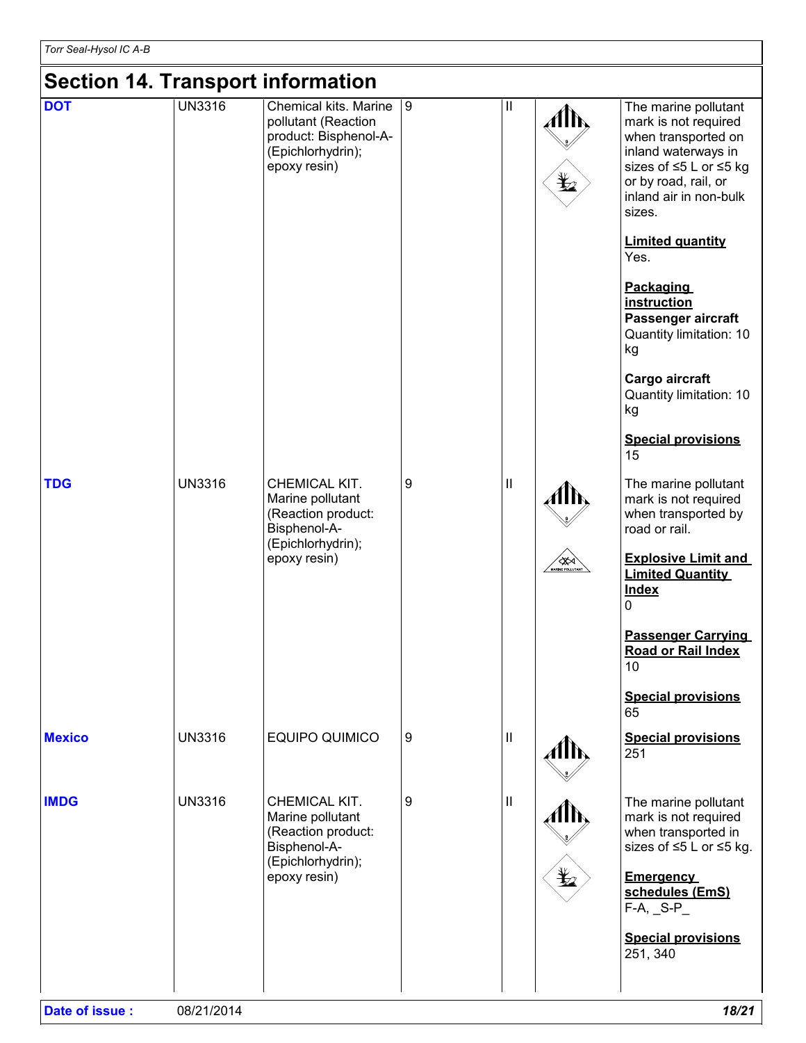### **Section 14. Transport information**

| Section 14. Transport information |               |                                                                                                              |                |              |                          |                                                                                                                                                                                  |
|-----------------------------------|---------------|--------------------------------------------------------------------------------------------------------------|----------------|--------------|--------------------------|----------------------------------------------------------------------------------------------------------------------------------------------------------------------------------|
| <b>DOT</b>                        | <b>UN3316</b> | Chemical kits. Marine<br>pollutant (Reaction<br>product: Bisphenol-A-<br>(Epichlorhydrin);<br>epoxy resin)   | $\overline{9}$ | $\mathbf{I}$ | AM,<br>$\bigstar$        | The marine pollutant<br>mark is not required<br>when transported on<br>inland waterways in<br>sizes of ≤5 L or ≤5 kg<br>or by road, rail, or<br>inland air in non-bulk<br>sizes. |
|                                   |               |                                                                                                              |                |              |                          | <b>Limited quantity</b><br>Yes.                                                                                                                                                  |
|                                   |               |                                                                                                              |                |              |                          | <b>Packaging</b><br>instruction<br>Passenger aircraft<br>Quantity limitation: 10<br>kg                                                                                           |
|                                   |               |                                                                                                              |                |              |                          | Cargo aircraft<br>Quantity limitation: 10<br>kg                                                                                                                                  |
|                                   |               |                                                                                                              |                |              |                          | <b>Special provisions</b><br>15                                                                                                                                                  |
| <b>TDG</b>                        | <b>UN3316</b> | CHEMICAL KIT.<br>Marine pollutant<br>(Reaction product:<br>Bisphenol-A-<br>(Epichlorhydrin);                 | 9              | $\mathbf{I}$ | AIN,                     | The marine pollutant<br>mark is not required<br>when transported by<br>road or rail.                                                                                             |
|                                   |               | epoxy resin)                                                                                                 |                |              | <b>AND THE POLLUTANT</b> | <b>Explosive Limit and</b><br><b>Limited Quantity</b><br><b>Index</b><br>0                                                                                                       |
|                                   |               |                                                                                                              |                |              |                          | <b>Passenger Carrying</b><br>Road or Rail Index<br>10                                                                                                                            |
|                                   |               |                                                                                                              |                |              |                          | <b>Special provisions</b><br>65                                                                                                                                                  |
| <b>Mexico</b>                     | <b>UN3316</b> | <b>EQUIPO QUIMICO</b>                                                                                        | 9              | $\mathbf{I}$ |                          | <b>Special provisions</b><br>251                                                                                                                                                 |
| <b>IMDG</b>                       | <b>UN3316</b> | CHEMICAL KIT.<br>Marine pollutant<br>(Reaction product:<br>Bisphenol-A-<br>(Epichlorhydrin);<br>epoxy resin) | 9              | $\mathbf{I}$ | Alħ,<br>₩                | The marine pollutant<br>mark is not required<br>when transported in<br>sizes of ≤5 L or ≤5 kg.<br><b>Emergency</b><br>schedules (EmS)<br>$F-A$ , $_S-P_$                         |
|                                   |               |                                                                                                              |                |              |                          | <b>Special provisions</b><br>251, 340                                                                                                                                            |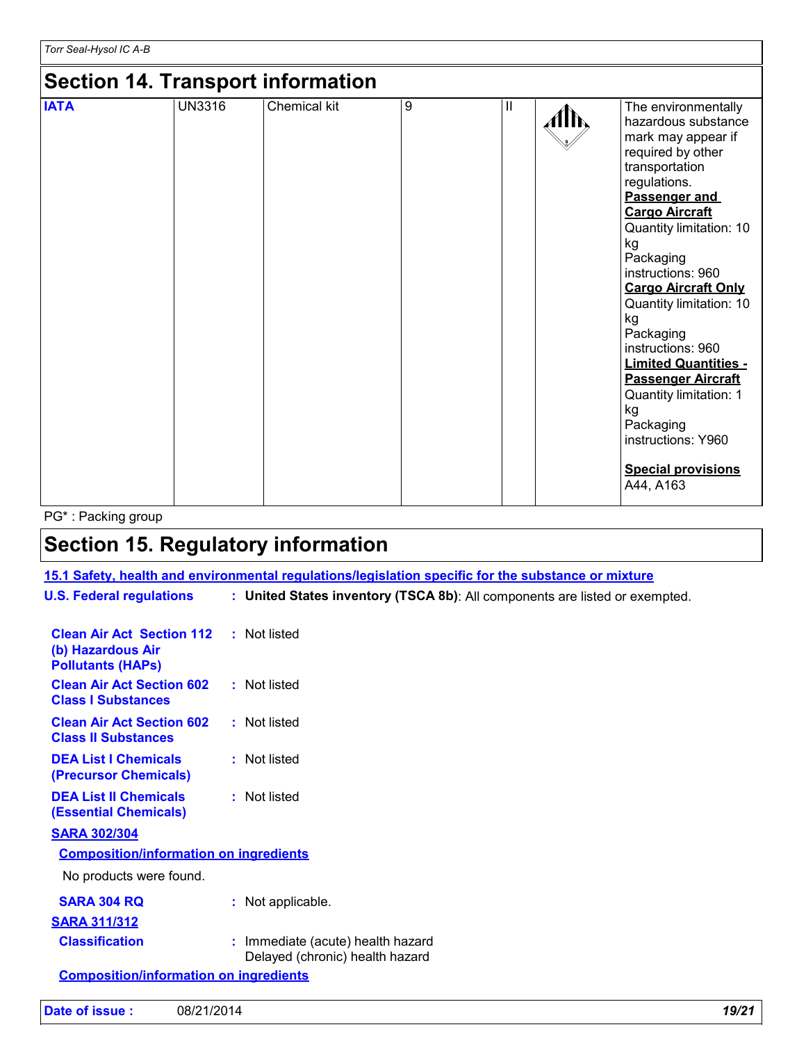### **Section 14. Transport information**

| <b>IATA</b> | <b>UN3316</b> | Chemical kit | 9 | Ш | The environmentally<br>Allh,<br>hazardous substance |
|-------------|---------------|--------------|---|---|-----------------------------------------------------|
|             |               |              |   |   | mark may appear if                                  |
|             |               |              |   |   | required by other                                   |
|             |               |              |   |   | transportation                                      |
|             |               |              |   |   | regulations.                                        |
|             |               |              |   |   | Passenger and                                       |
|             |               |              |   |   | <b>Cargo Aircraft</b>                               |
|             |               |              |   |   | Quantity limitation: 10                             |
|             |               |              |   |   | kg<br>Packaging                                     |
|             |               |              |   |   | instructions: 960                                   |
|             |               |              |   |   | <b>Cargo Aircraft Only</b>                          |
|             |               |              |   |   | Quantity limitation: 10                             |
|             |               |              |   |   | kg                                                  |
|             |               |              |   |   | Packaging                                           |
|             |               |              |   |   | instructions: 960                                   |
|             |               |              |   |   | <b>Limited Quantities -</b>                         |
|             |               |              |   |   | <b>Passenger Aircraft</b>                           |
|             |               |              |   |   | Quantity limitation: 1                              |
|             |               |              |   |   | kg                                                  |
|             |               |              |   |   | Packaging                                           |
|             |               |              |   |   | instructions: Y960                                  |
|             |               |              |   |   | <b>Special provisions</b>                           |
|             |               |              |   |   | A44, A163                                           |

PG\* : Packing group

### **Section 15. Regulatory information**

#### **15.1 Safety, health and environmental regulations/legislation specific for the substance or mixture**

| <b>U.S. Federal regulations</b>                                                   | : United States inventory (TSCA 8b): All components are listed or exempted. |  |
|-----------------------------------------------------------------------------------|-----------------------------------------------------------------------------|--|
| <b>Clean Air Act Section 112</b><br>(b) Hazardous Air<br><b>Pollutants (HAPS)</b> | : Not listed                                                                |  |
| <b>Clean Air Act Section 602</b><br><b>Class I Substances</b>                     | : Not listed                                                                |  |
| <b>Clean Air Act Section 602</b><br><b>Class II Substances</b>                    | : Not listed                                                                |  |

**DEA List I Chemicals (Precursor Chemicals) :** Not listed

**DEA List II Chemicals (Essential Chemicals) :** Not listed

#### **SARA 302/304**

#### **Composition/information on ingredients**

No products were found.

| <b>SARA 304 RQ</b>    | : Not applicable.                                                    |
|-----------------------|----------------------------------------------------------------------|
| <b>SARA 311/312</b>   |                                                                      |
| <b>Classification</b> | : Immediate (acute) health hazard<br>Delayed (chronic) health hazard |

**Composition/information on ingredients**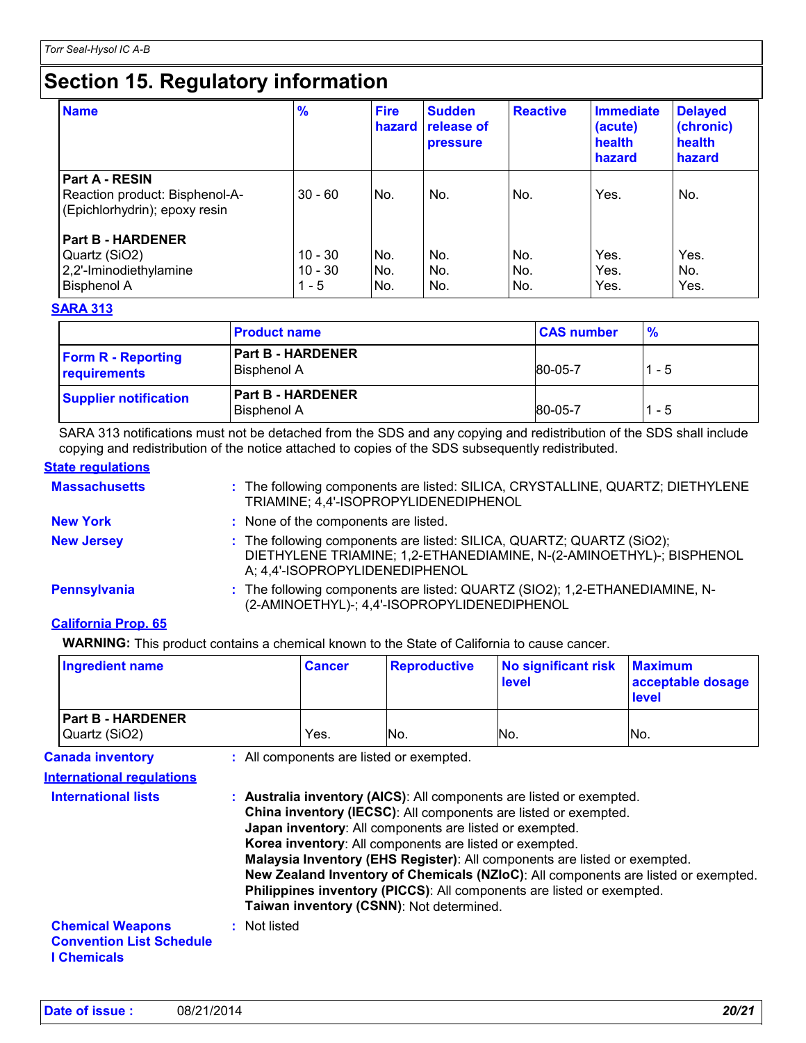### **Section 15. Regulatory information**

| <b>Name</b>                                                                               | $\frac{9}{6}$                     | <b>Fire</b><br>hazard | <b>Sudden</b><br>release of<br><b>pressure</b> | <b>Reactive</b>   | <b>Immediate</b><br>(acute)<br>health<br>hazard | <b>Delayed</b><br>(chronic)<br>health<br>hazard |
|-------------------------------------------------------------------------------------------|-----------------------------------|-----------------------|------------------------------------------------|-------------------|-------------------------------------------------|-------------------------------------------------|
| <b>Part A - RESIN</b><br>Reaction product: Bisphenol-A-<br>(Epichlorhydrin); epoxy resin  | $30 - 60$                         | No.                   | No.                                            | No.               | Yes.                                            | No.                                             |
| <b>Part B - HARDENER</b><br>Quartz (SiO2)<br>2,2'-Iminodiethylamine<br><b>Bisphenol A</b> | $10 - 30$<br>$10 - 30$<br>$1 - 5$ | No.<br>No.<br>No.     | No.<br>No.<br>No.                              | No.<br>No.<br>No. | Yes.<br>Yes.<br>Yes.                            | Yes.<br>No.<br>Yes.                             |

#### **SARA 313**

|                                           | <b>Product name</b>                            | <b>CAS number</b> | $\frac{9}{6}$ |
|-------------------------------------------|------------------------------------------------|-------------------|---------------|
| <b>Form R - Reporting</b><br>requirements | <b>Part B - HARDENER</b><br><b>Bisphenol A</b> | 80-05-7           | 1 - 5         |
| <b>Supplier notification</b>              | <b>Part B - HARDENER</b><br><b>Bisphenol A</b> | 80-05-7           | $1 - 5$       |

SARA 313 notifications must not be detached from the SDS and any copying and redistribution of the SDS shall include copying and redistribution of the notice attached to copies of the SDS subsequently redistributed.

#### **State regulations**

| <b>Massachusetts</b> | : The following components are listed: SILICA, CRYSTALLINE, QUARTZ; DIETHYLENE<br>TRIAMINE; 4,4'-ISOPROPYLIDENEDIPHENOL                                                         |
|----------------------|---------------------------------------------------------------------------------------------------------------------------------------------------------------------------------|
| <b>New York</b>      | : None of the components are listed.                                                                                                                                            |
| <b>New Jersey</b>    | : The following components are listed: SILICA, QUARTZ; QUARTZ (SiO2);<br>DIETHYLENE TRIAMINE; 1,2-ETHANEDIAMINE, N-(2-AMINOETHYL)-; BISPHENOL<br>A; 4,4'-ISOPROPYLIDENEDIPHENOL |
| <b>Pennsylvania</b>  | : The following components are listed: QUARTZ (SIO2); 1,2-ETHANEDIAMINE, N-<br>(2-AMINOETHYL)-; 4,4'-ISOPROPYLIDENEDIPHENOL                                                     |

#### **California Prop. 65**

**WARNING:** This product contains a chemical known to the State of California to cause cancer.

| <b>Ingredient name</b>                                      | <b>Cancer</b> | <b>Reproductive</b>                      | <b>No significant risk</b><br>level | <b>Maximum</b><br>acceptable dosage<br><b>level</b> |
|-------------------------------------------------------------|---------------|------------------------------------------|-------------------------------------|-----------------------------------------------------|
| <b>Part B - HARDENER</b><br>Quartz (SiO2)                   | Yes.          | IN <sub>o</sub>                          | No.                                 | lNo.                                                |
| <b>Canada inventory</b><br><b>International requlations</b> |               | : All components are listed or exempted. |                                     |                                                     |

| <b>International lists</b>                                                       | : Australia inventory (AICS): All components are listed or exempted.<br>China inventory (IECSC): All components are listed or exempted.<br>Japan inventory: All components are listed or exempted.<br>Korea inventory: All components are listed or exempted.<br>Malaysia Inventory (EHS Register): All components are listed or exempted.<br>New Zealand Inventory of Chemicals (NZIoC): All components are listed or exempted.<br>Philippines inventory (PICCS): All components are listed or exempted.<br>Taiwan inventory (CSNN): Not determined. |
|----------------------------------------------------------------------------------|-------------------------------------------------------------------------------------------------------------------------------------------------------------------------------------------------------------------------------------------------------------------------------------------------------------------------------------------------------------------------------------------------------------------------------------------------------------------------------------------------------------------------------------------------------|
| <b>Chemical Weapons</b><br><b>Convention List Schedule</b><br><b>I</b> Chemicals | : Not listed                                                                                                                                                                                                                                                                                                                                                                                                                                                                                                                                          |